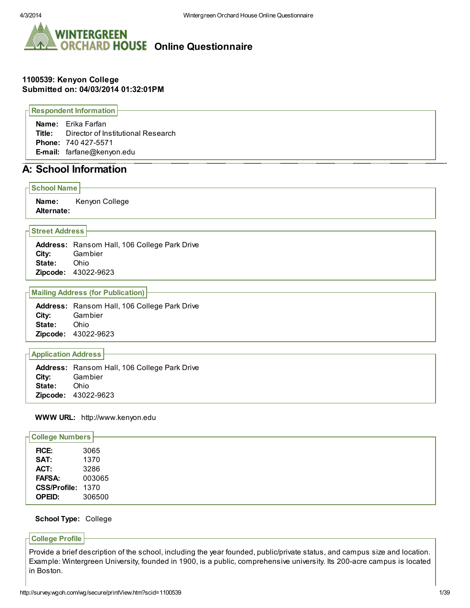

# **WINTERGREEN ORCHARD HOUSE Online Questionnaire**

## 1100539: Kenyon College Submitted on: 04/03/2014 01:32:01PM

Respondent Information

Name: Erika Farfan Title: Director of Institutional Research Phone: 740 427-5571 E-mail: farfane@kenyon.edu

# A: School Information

## School Name

Name: Kenyon College Alternate:

## Street Address

Address: Ransom Hall, 106 College Park Drive City: Gambier State: Ohio Zipcode: 43022-9623

## Mailing Address (for Publication)

Address: Ransom Hall, 106 College Park Drive City: Gambier State: Ohio Zipcode: 43022-9623

## Application Address

Address: Ransom Hall, 106 College Park Drive City: Gambier State: Ohio Zipcode: 43022-9623

## WWW URL: http://www.kenyon.edu

| <b>College Numbers</b> |        |
|------------------------|--------|
| FICE:                  | 3065   |
| SAT:                   | 1370   |
| ACT:                   | 3286   |
| <b>FAFSA:</b>          | 003065 |
| CSS/Profile: 1370      |        |
| <b>OPEID:</b>          | 306500 |

## School Type: College

### College Profile

Provide a brief description of the school, including the year founded, public/private status, and campus size and location. Example: Wintergreen University, founded in 1900, is a public, comprehensive university. Its 200-acre campus is located in Boston.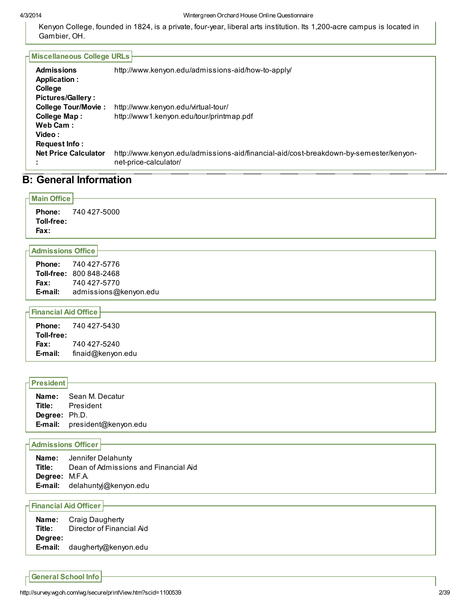#### 4/3/2014 Wintergreen Orchard House Online Questionnaire

Kenyon College, founded in 1824, is a private, four-year, liberal arts institution. Its 1,200-acre campus is located in Gambier, OH.

| <b>Miscellaneous College URLs</b> |                                                                                       |  |  |  |  |
|-----------------------------------|---------------------------------------------------------------------------------------|--|--|--|--|
|                                   |                                                                                       |  |  |  |  |
| <b>Admissions</b>                 | http://www.kenyon.edu/admissions-aid/how-to-apply/                                    |  |  |  |  |
| Application :                     |                                                                                       |  |  |  |  |
| College                           |                                                                                       |  |  |  |  |
| <b>Pictures/Gallery:</b>          |                                                                                       |  |  |  |  |
| <b>College Tour/Movie:</b>        | http://www.kenyon.edu/virtual-tour/                                                   |  |  |  |  |
| <b>College Map:</b>               | http://www1.kenyon.edu/tour/printmap.pdf                                              |  |  |  |  |
| Web Cam:                          |                                                                                       |  |  |  |  |
| Video:                            |                                                                                       |  |  |  |  |
| Request Info:                     |                                                                                       |  |  |  |  |
| <b>Net Price Calculator</b>       | http://www.kenyon.edu/admissions-aid/financial-aid/cost-breakdown-by-semester/kenyon- |  |  |  |  |
|                                   | net-price-calculator/                                                                 |  |  |  |  |

# B: General Information

# Main Office Phone: 740 427-5000 Toll-free: Fax: Admissions Office

| <b>Phone:</b> | 740 427-5776                   |
|---------------|--------------------------------|
|               | <b>Toll-free: 800 848-2468</b> |
| <b>Fax:</b>   | 740 427-5770                   |
| E-mail:       | admissions@kenyon.edu          |

## Financial Aid Office

## President

| Name:                | Sean M. Decatur              |
|----------------------|------------------------------|
| Title:               | President                    |
| <b>Degree:</b> Ph.D. |                              |
|                      | E-mail: president@kenyon.edu |

## Admissions Officer

|                | <b>Name:</b> Jennifer Delahunty      |
|----------------|--------------------------------------|
| Title:         | Dean of Admissions and Financial Aid |
| Degree: M.F.A. |                                      |
|                | E-mail: delahuntyj@kenyon.edu        |

## Financial Aid Officer

| Name:   | Craig Daugherty           |
|---------|---------------------------|
| Title:  | Director of Financial Aid |
| Degree: |                           |
| E-mail: | daugherty@kenyon.edu      |

General School Info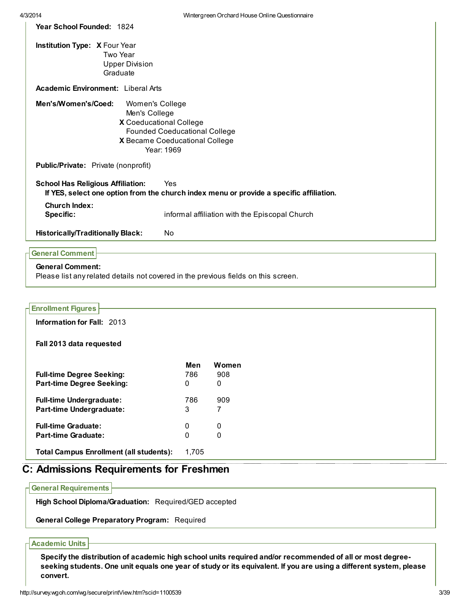| Year School Founded: 1824                 |                                                                                         |  |  |  |  |  |
|-------------------------------------------|-----------------------------------------------------------------------------------------|--|--|--|--|--|
| Institution Type: X Four Year             |                                                                                         |  |  |  |  |  |
|                                           | Two Year                                                                                |  |  |  |  |  |
| <b>Upper Division</b>                     |                                                                                         |  |  |  |  |  |
| Graduate                                  |                                                                                         |  |  |  |  |  |
| <b>Academic Environment:</b> Liberal Arts |                                                                                         |  |  |  |  |  |
| Men's/Women's/Coed:<br>Women's College    |                                                                                         |  |  |  |  |  |
| Men's College                             |                                                                                         |  |  |  |  |  |
| X Coeducational College                   |                                                                                         |  |  |  |  |  |
| <b>Founded Coeducational College</b>      |                                                                                         |  |  |  |  |  |
|                                           | X Became Coeducational College                                                          |  |  |  |  |  |
|                                           | Year: 1969                                                                              |  |  |  |  |  |
| Public/Private: Private (nonprofit)       |                                                                                         |  |  |  |  |  |
| <b>School Has Religious Affiliation:</b>  | Yes                                                                                     |  |  |  |  |  |
|                                           | If YES, select one option from the church index menu or provide a specific affiliation. |  |  |  |  |  |
| <b>Church Index:</b>                      |                                                                                         |  |  |  |  |  |
| <b>Specific:</b>                          | informal affiliation with the Episcopal Church                                          |  |  |  |  |  |
| <b>Historically/Traditionally Black:</b>  | No                                                                                      |  |  |  |  |  |
| <b>General Comment</b>                    |                                                                                         |  |  |  |  |  |

# General Comment:

Please list any related details not covered in the previous fields on this screen.

| <b>Enrollment Figures</b>                      |          |              |  |
|------------------------------------------------|----------|--------------|--|
| Information for Fall: 2013                     |          |              |  |
| Fall 2013 data requested                       |          |              |  |
|                                                | Men      | <b>Women</b> |  |
| <b>Full-time Degree Seeking:</b>               | 786      | 908          |  |
| <b>Part-time Degree Seeking:</b>               | 0        | 0            |  |
| <b>Full-time Undergraduate:</b>                | 786      | 909          |  |
| <b>Part-time Undergraduate:</b>                | 3        | 7            |  |
| <b>Full-time Graduate:</b>                     | 0        | 0            |  |
| <b>Part-time Graduate:</b>                     | $\Omega$ | 0            |  |
| <b>Total Campus Enrollment (all students):</b> | 1,705    |              |  |

# C: Admissions Requirements for Freshmen

General Requirements

High School Diploma/Graduation: Required/GED accepted

General College Preparatory Program: Required

### Academic Units

Specify the distribution of academic high school units required and/or recommended of all or most degreeseeking students. One unit equals one year of study or its equivalent. If you are using a different system, please convert.

T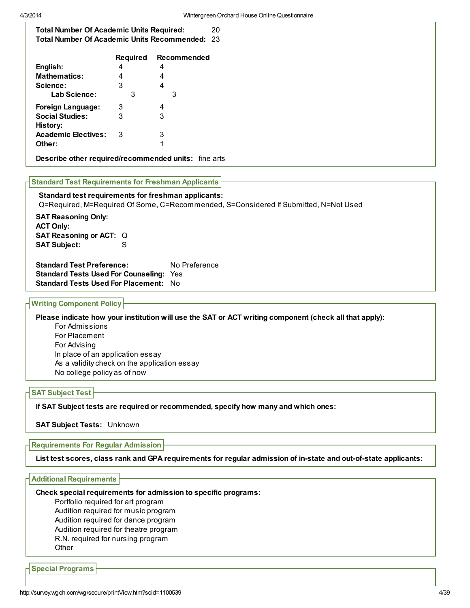Total Number Of Academic Units Required: 20 Total Number Of Academic Units Recommended: 23

|                            | <b>Required</b> | Recommended |
|----------------------------|-----------------|-------------|
| English:                   | 4               | 4           |
| <b>Mathematics:</b>        | 4               | 4           |
| Science:                   | 3               | 4           |
| Lab Science:               | З               | З           |
| <b>Foreign Language:</b>   | 3               | 4           |
| <b>Social Studies:</b>     | 3               | 3           |
| History:                   |                 |             |
| <b>Academic Electives:</b> | 3               | 3           |
| Other:                     |                 | 1           |
|                            |                 |             |

Describe other required/recommended units: fine arts

#### Standard Test Requirements for Freshman Applicants

#### Standard test requirements for freshman applicants:

Q=Required, M=Required Of Some, C=Recommended, S=Considered If Submitted, N=Not Used

SAT Reasoning Only: ACT Only: SAT Reasoning or ACT: Q SAT Subject: S

Standard Test Preference: No Preference Standard Tests Used For Counseling: Yes Standard Tests Used For Placement: No

## Writing Component Policy

Please indicate how your institution will use the SAT or ACT writing component (check all that apply):

For Admissions For Placement For Advising In place of an application essay As a validity check on the application essay No college policy as of now

#### SAT Subject Test

If SAT Subject tests are required or recommended, specify how many and which ones:

**SAT Subject Tests: Unknown** 

#### Requirements For Regular Admission

List test scores, class rank and GPA requirements for regular admission of in-state and out-of-state applicants:

#### Additional Requirements

Check special requirements for admission to specific programs:

Portfolio required for art program

Audition required for music program

Audition required for dance program

Audition required for theatre program

R.N. required for nursing program

**Other** 

Special Programs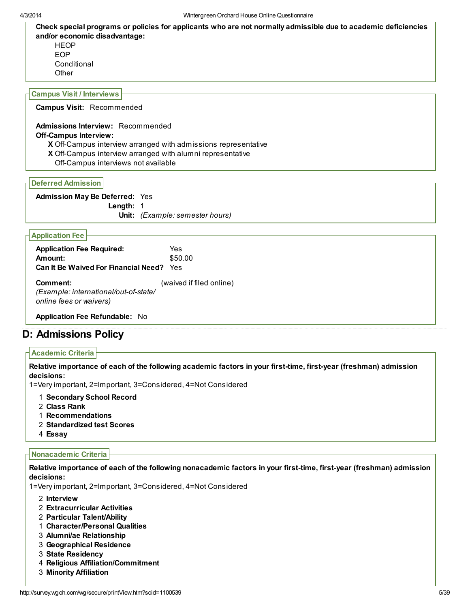Check special programs or policies for applicants who are not normally admissible due to academic deficiencies and/or economic disadvantage: **HEOP** 

EOP **Conditional Other** 

#### Campus Visit / Interviews

Campus Visit: Recommended

#### Admissions Interview: Recommended Off-Campus Interview:

- X Off-Campus interview arranged with admissions representative
- X Off-Campus interview arranged with alumni representative
- Off-Campus interviews not available

Deferred Admission

#### Admission May Be Deferred: Yes

Length: 1

Unit: (Example: semester hours)

#### Application Fee

| <b>Application Fee Required:</b><br>Amount:<br><b>Can It Be Waived For Financial Need?</b> Yes | Yes<br>\$50.00           |
|------------------------------------------------------------------------------------------------|--------------------------|
| Comment:<br>(Example: international/out-of-state/<br>online fees or waivers)                   | (waived if filed online) |

Application Fee Refundable: No

## D: Admissions Policy

## Academic Criteria

Relative importance of each of the following academic factors in your first-time, first-year (freshman) admission decisions:

1=Very important, 2=Important, 3=Considered, 4=Not Considered

- 1 Secondary School Record
- 2 Class Rank
- 1 Recommendations
- 2 Standardized test Scores
- 4 Essay

### Nonacademic Criteria

Relative importance of each of the following nonacademic factors in your first-time, first-year (freshman) admission decisions:

1=Very important, 2=Important, 3=Considered, 4=Not Considered

2 Interview

- 2 Extracurricular Activities
- 2 Particular Talent/Ability
- 1 Character/Personal Qualities
- 3 Alumni/ae Relationship
- 3 Geographical Residence
- 3 State Residency
- 4 Religious Affiliation/Commitment
- 3 Minority Affiliation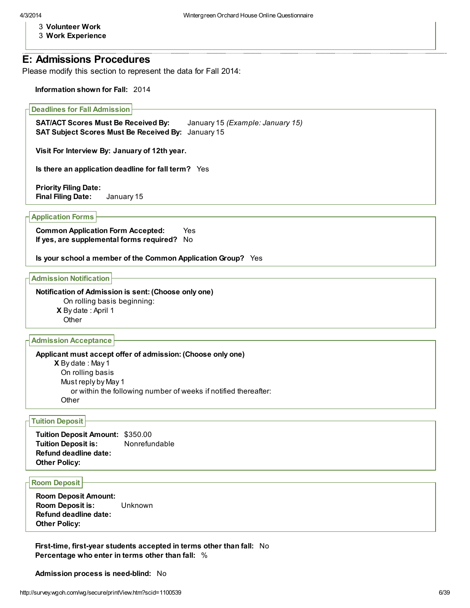- 3 Volunteer Work
- 3 Work Experience

## E: Admissions Procedures

Please modify this section to represent the data for Fall 2014:

Information shown for Fall: 2014

#### Deadlines for Fall Admission

SAT/ACT Scores Must Be Received By: January 15 (Example: January 15) SAT Subject Scores Must Be Received By: January 15

Visit For Interview By: January of 12th year.

Is there an application deadline for fall term? Yes

Priority Filing Date: Final Filing Date: January 15

Application Forms

Common Application Form Accepted: Yes If yes, are supplemental forms required? No

Is your school a member of the Common Application Group? Yes

Admission Notification

Notification of Admission is sent: (Choose only one)

On rolling basis beginning:

X By date : April 1

**Other** 

Admission Acceptance

**X** By date : May 1 Applicant must accept offer of admission: (Choose only one) On rolling basis Must reply by May 1 or within the following number of weeks if notified thereafter: **Other** 

#### Tuition Deposit

Tuition Deposit Amount: \$350.00 Tuition Deposit is: Nonrefundable Refund deadline date: Other Policy:

Room Deposit

Room Deposit Amount: Room Deposit is: Unknown Refund deadline date: Other Policy:

First-time, first-year students accepted in terms other than fall: No Percentage who enter in terms other than fall: %

Admission process is need-blind: No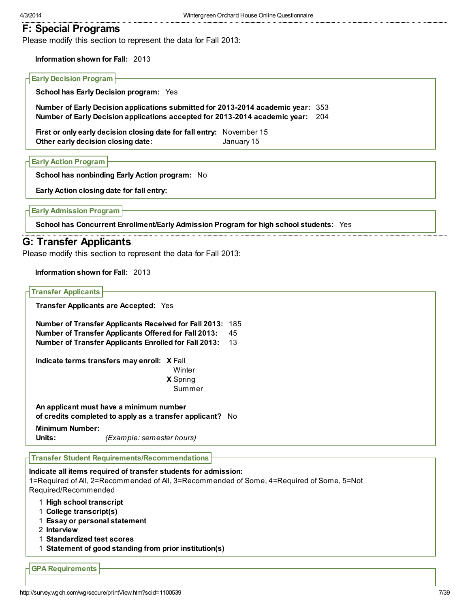## F: Special Programs

Please modify this section to represent the data for Fall 2013:

Information shown for Fall: 2013

#### Early Decision Program

School has Early Decision program: Yes

Number of Early Decision applications submitted for 2013-2014 academic year: 353 Number of Early Decision applications accepted for 2013-2014 academic year: 204

First or only early decision closing date for fall entry: November 15 Other early decision closing date: January 15

Early Action Program

School has nonbinding Early Action program: No

Early Action closing date for fall entry:

Early Admission Program

School has Concurrent Enrollment/Early Admission Program for high school students: Yes

## G: Transfer Applicants

Please modify this section to represent the data for Fall 2013:

Information shown for Fall: 2013

| <b>Transfer Applicants</b>                                                                                                                                                           |     |
|--------------------------------------------------------------------------------------------------------------------------------------------------------------------------------------|-----|
| Transfer Applicants are Accepted: Yes                                                                                                                                                |     |
| <b>Number of Transfer Applicants Received for Fall 2013:</b>                                                                                                                         | 185 |
| <b>Number of Transfer Applicants Offered for Fall 2013:</b>                                                                                                                          | 45  |
| Number of Transfer Applicants Enrolled for Fall 2013:                                                                                                                                | 13  |
| Indicate terms transfers may enroll: X Fall<br>Winter                                                                                                                                |     |
| X Spring                                                                                                                                                                             |     |
| Summer                                                                                                                                                                               |     |
| An applicant must have a minimum number<br>of credits completed to apply as a transfer applicant? No                                                                                 |     |
| <b>Minimum Number:</b><br>Units:<br>(Example: semester hours)                                                                                                                        |     |
| <b>Transfer Student Requirements/Recommendations</b>                                                                                                                                 |     |
| Indicate all items required of transfer students for admission:<br>1=Required of All, 2=Recommended of All, 3=Recommended of Some, 4=Required of Some, 5=Not<br>Required/Recommended |     |
| 1 High school transcript<br>1 College transcript(s)<br>1 Essay or personal statement                                                                                                 |     |
| 2 Interview                                                                                                                                                                          |     |
| 1 Standardized test scores                                                                                                                                                           |     |
| 1 Statement of good standing from prior institution(s)                                                                                                                               |     |
| <b>GPA Requirements</b>                                                                                                                                                              |     |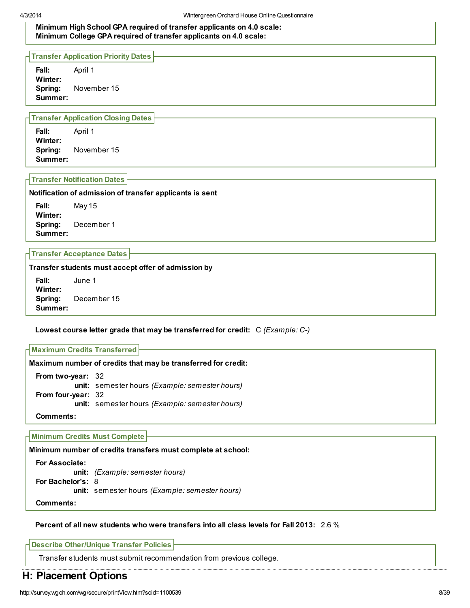Minimum High School GPA required of transfer applicants on 4.0 scale: Minimum College GPA required of transfer applicants on 4.0 scale:

Transfer Application Priority Dates

Fall: April 1 Winter: Spring: November 15 Summer:

#### Transfer Application Closing Dates

Fall: April 1 Winter: Spring: November 15 Summer:

### Transfer Notification Dates

#### Notification of admission of transfer applicants is sent

Fall: May 15 Winter: Spring: December 1 Summer:

Transfer Acceptance Dates

Transfer students must accept offer of admission by

Fall: June 1 Winter: Spring: December 15 Summer:

### Lowest course letter grade that may be transferred for credit:  $C$  (Example:  $C$ -)

Maximum Credits Transferred

Maximum number of credits that may be transferred for credit: From two-year: 32 unit: semester hours (Example: semester hours) From four-year: 32 unit: semester hours (Example: semester hours)

Comments:

#### Minimum Credits Must Complete

Minimum number of credits transfers must complete at school:

For Associate: unit: (Example: semester hours) For Bachelor's: 8 unit: semester hours (Example: semester hours) Comments:

## Percent of all new students who were transfers into all class levels for Fall 2013: 2.6 %

Describe Other/Unique Transfer Policies

Transfer students must submit recommendation from previous college.

# H: Placement Options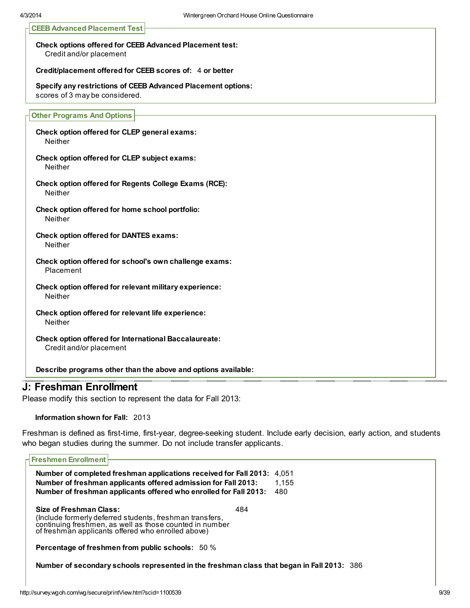|  |  | <b>CEEB Advanced Placement Test</b> |  |
|--|--|-------------------------------------|--|
|--|--|-------------------------------------|--|

Check options offered for CEEB Advanced Placement test: Credit and/or placement

Credit/placement offered for CEEB scores of: 4 or better

Specify any restrictions of CEEB Advanced Placement options: scores of 3 may be considered.

#### Other Programs And Options

Check option offered for CLEP general exams: Neither

Check option offered for CLEP subject exams: **Neither** 

Check option offered for Regents College Exams (RCE): Neither

Check option offered for home school portfolio: Neither

Check option offered for DANTES exams: Neither

Check option offered for school's own challenge exams: Placement

Check option offered for relevant military experience: **Neither** 

Check option offered for relevant life experience: Neither

Check option offered for International Baccalaureate: Credit and/or placement

Describe programs other than the above and options available:

## J: Freshman Enrollment

Please modify this section to represent the data for Fall 2013:

Information shown for Fall: 2013

Freshman is defined as first-time, first-year, degree-seeking student. Include early decision, early action, and students who began studies during the summer. Do not include transfer applicants.

| <b>Freshmen Enrollment</b>                                                                                                                                                                           |       |
|------------------------------------------------------------------------------------------------------------------------------------------------------------------------------------------------------|-------|
|                                                                                                                                                                                                      |       |
| Number of completed freshman applications received for Fall 2013: 4,051                                                                                                                              |       |
| Number of freshman applicants offered admission for Fall 2013:                                                                                                                                       | 1,155 |
| Number of freshman applicants offered who enrolled for Fall 2013:                                                                                                                                    | 480   |
| Size of Freshman Class:<br>(Include formerly deferred students, freshman transfers,<br>continuing freshmen, as well as those counted in number<br>of freshman applicants offered who enrolled above) | 484   |
| <b>Percentage of freshmen from public schools:</b> 50 %                                                                                                                                              |       |
| Number of secondary schools represented in the freshman class that began in Fall 2013: 386                                                                                                           |       |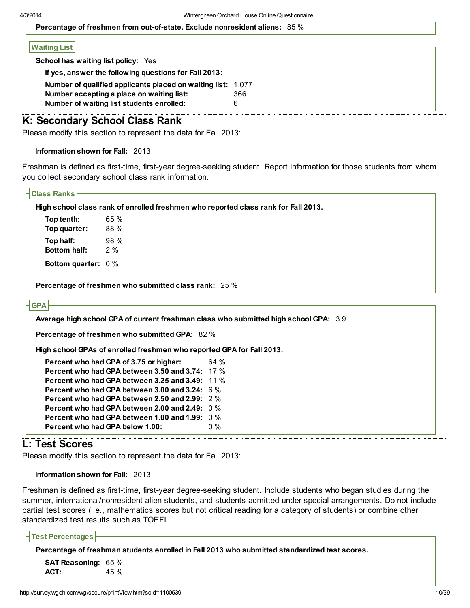Percentage of freshmen from out-of-state. Exclude nonresident aliens: 85 %

| Number of qualified applicants placed on waiting list: 1,077 |
|--------------------------------------------------------------|
| 366                                                          |
|                                                              |
|                                                              |

## K: Secondary School Class Rank

Please modify this section to represent the data for Fall 2013:

Information shown for Fall: 2013

Freshman is defined as first-time, first-year degree-seeking student. Report information for those students from whom you collect secondary school class rank information.

| <b>Class Ranks</b>        |                                                                                      |                                                                                    |  |  |  |  |
|---------------------------|--------------------------------------------------------------------------------------|------------------------------------------------------------------------------------|--|--|--|--|
|                           |                                                                                      |                                                                                    |  |  |  |  |
|                           |                                                                                      | High school class rank of enrolled freshmen who reported class rank for Fall 2013. |  |  |  |  |
| Top tenth:                | 65 %                                                                                 |                                                                                    |  |  |  |  |
| Top quarter:              | 88 %                                                                                 |                                                                                    |  |  |  |  |
| Top half:                 | 98 %                                                                                 |                                                                                    |  |  |  |  |
| <b>Bottom half:</b>       | 2%                                                                                   |                                                                                    |  |  |  |  |
| <b>Bottom quarter: 0%</b> |                                                                                      |                                                                                    |  |  |  |  |
|                           | Percentage of freshmen who submitted class rank: 25 %                                |                                                                                    |  |  |  |  |
|                           |                                                                                      |                                                                                    |  |  |  |  |
| <b>GPA</b>                |                                                                                      |                                                                                    |  |  |  |  |
|                           |                                                                                      |                                                                                    |  |  |  |  |
|                           | Average high school GPA of current freshman class who submitted high school GPA: 3.9 |                                                                                    |  |  |  |  |
|                           | Percentage of freshmen who submitted GPA: 82 %                                       |                                                                                    |  |  |  |  |
|                           |                                                                                      |                                                                                    |  |  |  |  |
|                           | High school GPAs of enrolled freshmen who reported GPA for Fall 2013.                |                                                                                    |  |  |  |  |
|                           | Percent who had GPA of 3.75 or higher:                                               | 64%                                                                                |  |  |  |  |
|                           | Percent who had GPA between 3.50 and 3.74: 17 %                                      |                                                                                    |  |  |  |  |
|                           | <b>Percent who had GPA between 3.25 and 3.49: 11 %</b>                               |                                                                                    |  |  |  |  |
|                           | Percent who had GPA between 3.00 and 3.24: 6 %                                       |                                                                                    |  |  |  |  |
|                           | Percent who had GPA between 2.50 and 2.99: 2 %                                       |                                                                                    |  |  |  |  |
|                           | Percent who had GPA between 2.00 and 2.49: 0 %                                       |                                                                                    |  |  |  |  |
|                           | Percent who had GPA between 1.00 and 1.99: $0\%$<br>Percent who had GPA below 1.00:  | $0\%$                                                                              |  |  |  |  |

# L: Test Scores

Please modify this section to represent the data for Fall 2013:

```
Information shown for Fall: 2013
```
Freshman is defined as first-time, first-year degree-seeking student. Include students who began studies during the summer, international/nonresident alien students, and students admitted under special arrangements. Do not include partial test scores (i.e., mathematics scores but not critical reading for a category of students) or combine other standardized test results such as TOEFL.

Test Percentages Percentage of freshman students enrolled in Fall 2013 who submitted standardized test scores. SAT Reasoning: 65 % ACT: 45 %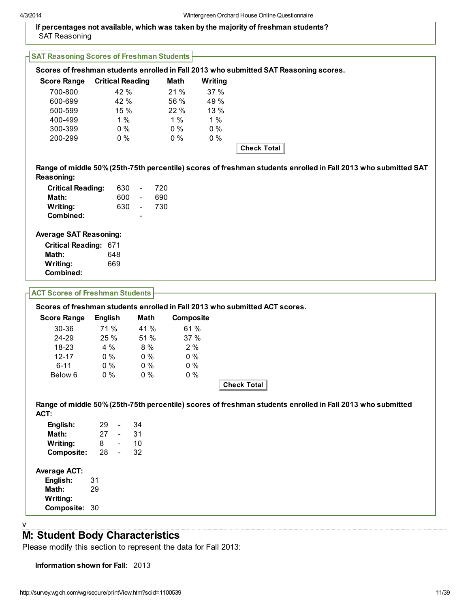## If percentages not available, which was taken by the majority of freshman students? SAT Reasoning

| <b>SAT Reasoning Scores of Freshman Students</b>                                                                                    |                |       |                          |                          |     |             |           |                    |  |  |  |  |
|-------------------------------------------------------------------------------------------------------------------------------------|----------------|-------|--------------------------|--------------------------|-----|-------------|-----------|--------------------|--|--|--|--|
| Scores of freshman students enrolled in Fall 2013 who submitted SAT Reasoning scores.                                               |                |       |                          |                          |     |             |           |                    |  |  |  |  |
| <b>Score Range</b>                                                                                                                  |                |       |                          | <b>Critical Reading</b>  |     | <b>Math</b> | Writing   |                    |  |  |  |  |
| 700-800                                                                                                                             |                |       | 42 %                     |                          |     | 21 %        | 37 %      |                    |  |  |  |  |
| 600-699                                                                                                                             |                |       | 42 %                     |                          |     | 56 %        | 49 %      |                    |  |  |  |  |
| 500-599                                                                                                                             |                |       | 15 %                     |                          |     | 22 %        | 13 %      |                    |  |  |  |  |
| 400-499                                                                                                                             |                |       | $1\%$                    |                          |     | 1%          | 1%        |                    |  |  |  |  |
| 300-399                                                                                                                             |                |       | $0\%$                    |                          |     | $0\%$       | $0\%$     |                    |  |  |  |  |
| 200-299                                                                                                                             |                |       | $0\%$                    |                          |     | $0\%$       | $0\%$     |                    |  |  |  |  |
|                                                                                                                                     |                |       |                          |                          |     |             |           | <b>Check Total</b> |  |  |  |  |
|                                                                                                                                     |                |       |                          |                          |     |             |           |                    |  |  |  |  |
| Range of middle 50% (25th-75th percentile) scores of freshman students enrolled in Fall 2013 who submitted SAT<br><b>Reasoning:</b> |                |       |                          |                          |     |             |           |                    |  |  |  |  |
| <b>Critical Reading:</b>                                                                                                            |                |       | 630                      | $\overline{\phantom{a}}$ | 720 |             |           |                    |  |  |  |  |
| Math:                                                                                                                               |                |       | 600                      | $\omega$                 | 690 |             |           |                    |  |  |  |  |
| Writing:                                                                                                                            |                |       | 630                      | $\sim$                   | 730 |             |           |                    |  |  |  |  |
| <b>Combined:</b>                                                                                                                    |                |       |                          |                          |     |             |           |                    |  |  |  |  |
|                                                                                                                                     |                |       |                          |                          |     |             |           |                    |  |  |  |  |
| <b>Average SAT Reasoning:</b>                                                                                                       |                |       |                          |                          |     |             |           |                    |  |  |  |  |
| Critical Reading: 671                                                                                                               |                |       |                          |                          |     |             |           |                    |  |  |  |  |
| Math:                                                                                                                               |                | 648   |                          |                          |     |             |           |                    |  |  |  |  |
| Writing:                                                                                                                            |                | 669   |                          |                          |     |             |           |                    |  |  |  |  |
| <b>Combined:</b>                                                                                                                    |                |       |                          |                          |     |             |           |                    |  |  |  |  |
|                                                                                                                                     |                |       |                          |                          |     |             |           |                    |  |  |  |  |
| <b>ACT Scores of Freshman Students</b>                                                                                              |                |       |                          |                          |     |             |           |                    |  |  |  |  |
| Scores of freshman students enrolled in Fall 2013 who submitted ACT scores.                                                         |                |       |                          |                          |     |             |           |                    |  |  |  |  |
| <b>Score Range</b>                                                                                                                  | <b>English</b> |       |                          | Math                     |     |             | Composite |                    |  |  |  |  |
| 30-36                                                                                                                               |                | 71 %  |                          | 41 %                     |     |             | 61 %      |                    |  |  |  |  |
| 24-29                                                                                                                               |                | 25 %  |                          | 51 %                     |     |             | 37 %      |                    |  |  |  |  |
| 18-23                                                                                                                               |                | 4 %   |                          | 8 %                      |     |             | 2%        |                    |  |  |  |  |
| $12 - 17$                                                                                                                           |                | $0\%$ |                          | $0\%$                    |     |             | 0%        |                    |  |  |  |  |
| $6 - 11$                                                                                                                            |                | $0\%$ |                          | $0\%$                    |     |             | 0%        |                    |  |  |  |  |
| Below 6                                                                                                                             |                | $0\%$ |                          | $0\%$                    |     |             | $0\%$     |                    |  |  |  |  |
|                                                                                                                                     |                |       |                          |                          |     |             |           | <b>Check Total</b> |  |  |  |  |
|                                                                                                                                     |                |       |                          |                          |     |             |           |                    |  |  |  |  |
| Range of middle 50% (25th-75th percentile) scores of freshman students enrolled in Fall 2013 who submitted<br>ACT:                  |                |       |                          |                          |     |             |           |                    |  |  |  |  |
| English:                                                                                                                            | 29             |       | $\overline{\phantom{a}}$ | 34                       |     |             |           |                    |  |  |  |  |
| Math:                                                                                                                               | 27             |       | $\sim$                   | 31                       |     |             |           |                    |  |  |  |  |
| Writing:                                                                                                                            | 8              |       | $\omega$                 | 10                       |     |             |           |                    |  |  |  |  |
| Composite:                                                                                                                          | 28             |       | $\mathbb{Z}^2$           | 32                       |     |             |           |                    |  |  |  |  |
|                                                                                                                                     |                |       |                          |                          |     |             |           |                    |  |  |  |  |
| <b>Average ACT:</b>                                                                                                                 |                |       |                          |                          |     |             |           |                    |  |  |  |  |
| English:                                                                                                                            | 31             |       |                          |                          |     |             |           |                    |  |  |  |  |
| Math:                                                                                                                               | 29             |       |                          |                          |     |             |           |                    |  |  |  |  |
| Writing:                                                                                                                            |                |       |                          |                          |     |             |           |                    |  |  |  |  |
| Composite: 30                                                                                                                       |                |       |                          |                          |     |             |           |                    |  |  |  |  |
|                                                                                                                                     |                |       |                          |                          |     |             |           |                    |  |  |  |  |
|                                                                                                                                     |                |       |                          |                          |     |             |           |                    |  |  |  |  |

M: Student Body Characteristics

Please modify this section to represent the data for Fall 2013:

Information shown for Fall: 2013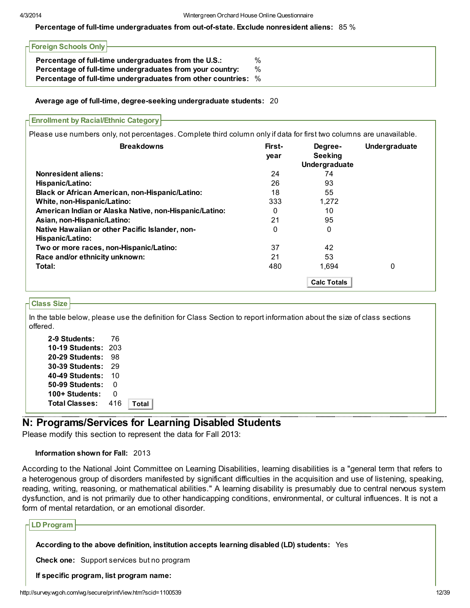### Percentage of full-time undergraduates from out-of-state. Exclude nonresident aliens: 85 %

| Foreign Schools Only                                           |   |
|----------------------------------------------------------------|---|
| Percentage of full-time undergraduates from the U.S.:          | % |
| Percentage of full-time undergraduates from your country:      | % |
| Percentage of full-time undergraduates from other countries: % |   |

#### Average age of full-time, degree-seeking undergraduate students: 20

| <b>Nonresident aliens:</b><br>24<br>74<br>26<br>93<br>Hispanic/Latino:<br>55<br><b>Black or African American, non-Hispanic/Latino:</b><br>18<br>White, non-Hispanic/Latino:<br>333<br>1,272<br>American Indian or Alaska Native, non-Hispanic/Latino:<br>10<br>0<br>21<br>95<br>Asian, non-Hispanic/Latino:<br>Native Hawaiian or other Pacific Islander, non-<br>$\Omega$<br>0<br>Hispanic/Latino:<br>37<br>42<br>Two or more races, non-Hispanic/Latino:<br>53<br>21<br>Race and/or ethnicity unknown:<br>Total:<br>480<br>1,694<br>0 | <b>Breakdowns</b> | First-<br>year | Degree-<br><b>Seeking</b><br>Undergraduate | Undergraduate |
|-----------------------------------------------------------------------------------------------------------------------------------------------------------------------------------------------------------------------------------------------------------------------------------------------------------------------------------------------------------------------------------------------------------------------------------------------------------------------------------------------------------------------------------------|-------------------|----------------|--------------------------------------------|---------------|
|                                                                                                                                                                                                                                                                                                                                                                                                                                                                                                                                         |                   |                |                                            |               |
|                                                                                                                                                                                                                                                                                                                                                                                                                                                                                                                                         |                   |                |                                            |               |
|                                                                                                                                                                                                                                                                                                                                                                                                                                                                                                                                         |                   |                |                                            |               |
|                                                                                                                                                                                                                                                                                                                                                                                                                                                                                                                                         |                   |                |                                            |               |
|                                                                                                                                                                                                                                                                                                                                                                                                                                                                                                                                         |                   |                |                                            |               |
|                                                                                                                                                                                                                                                                                                                                                                                                                                                                                                                                         |                   |                |                                            |               |
|                                                                                                                                                                                                                                                                                                                                                                                                                                                                                                                                         |                   |                |                                            |               |
|                                                                                                                                                                                                                                                                                                                                                                                                                                                                                                                                         |                   |                |                                            |               |
|                                                                                                                                                                                                                                                                                                                                                                                                                                                                                                                                         |                   |                |                                            |               |
|                                                                                                                                                                                                                                                                                                                                                                                                                                                                                                                                         |                   |                |                                            |               |

## Class Size

In the table below, please use the definition for Class Section to report information about the size of class sections offered.

| 2-9 Students:         | 76  |    |
|-----------------------|-----|----|
| 10-19 Students:       | 203 |    |
| 20-29 Students:       | 98  |    |
| 30-39 Students:       | 29  |    |
| 40-49 Students:       | 10  |    |
| 50-99 Students:       | O   |    |
| 100+ Students:        | O   |    |
| <b>Total Classes:</b> | 416 | Тი |
|                       |     |    |

## N: Programs/Services for Learning Disabled Students

Please modify this section to represent the data for Fall 2013:

### Information shown for Fall: 2013

According to the National Joint Committee on Learning Disabilities, learning disabilities is a "general term that refers to a heterogenous group of disorders manifested by significant difficulties in the acquisition and use of listening, speaking, reading, writing, reasoning, or mathematical abilities." A learning disability is presumably due to central nervous system dysfunction, and is not primarily due to other handicapping conditions, environmental, or cultural influences. It is not a form of mental retardation, or an emotional disorder.

| LD Program                                                                                  |       |
|---------------------------------------------------------------------------------------------|-------|
| According to the above definition, institution accepts learning disabled (LD) students: Yes |       |
| <b>Check one:</b> Support services but no program                                           |       |
| If specific program, list program name:                                                     |       |
| http://survey.wgoh.com/wg/secure/printView.htm?scid=1100539                                 | 12/39 |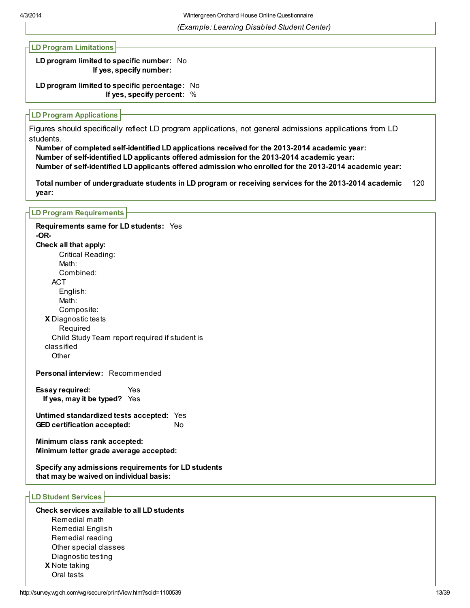## LD Program Limitations

LD program limited to specific number: No If yes, specify number:

LD program limited to specific percentage: No If yes, specify percent: %

### LD Program Applications

Figures should specifically reflect LD program applications, not general admissions applications from LD students.

Number of completed self-identified LD applications received for the 2013-2014 academic year: Number of self-identified LD applicants offered admission for the 2013-2014 academic year: Number of self-identified LD applicants offered admission who enrolled for the 2013-2014 academic year:

Total number of undergraduate students in LD program or receiving services for the 2013-2014 academic year: 120

### LD Program Requirements

X Diagnostic tests Requirements same for LD students: Yes -OR-Check all that apply: Critical Reading: Math: Combined: **ACT** English: Math: Composite: Required Child Study Team report required if student is classified **Other** 

Personal interview: Recommended

Essay required: Yes If yes, may it be typed? Yes

Untimed standardized tests accepted: Yes GED certification accepted: No

Minimum class rank accepted: Minimum letter grade average accepted:

Specify any admissions requirements for LD students that may be waived on individual basis:

### LD Student Services

Check services available to all LD students Remedial math Remedial English Remedial reading Other special classes Diagnostic testing

X Note taking Oral tests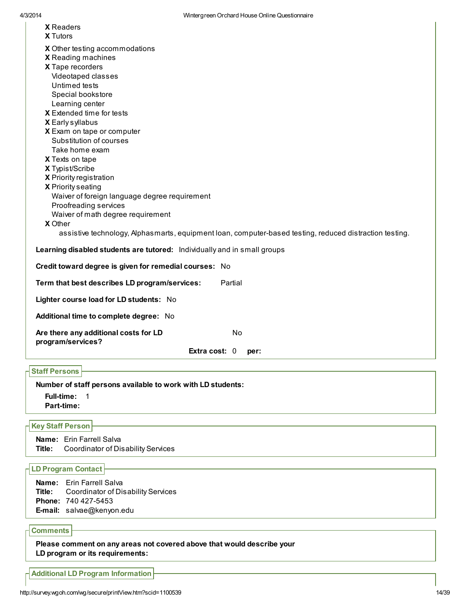| <b>X</b> Readers<br><b>X</b> Tutors                                                                     |
|---------------------------------------------------------------------------------------------------------|
| X Other testing accommodations                                                                          |
| X Reading machines                                                                                      |
| X Tape recorders                                                                                        |
| Videotaped classes                                                                                      |
| Untimed tests                                                                                           |
| Special bookstore                                                                                       |
| Learning center                                                                                         |
| X Extended time for tests                                                                               |
| X Early syllabus                                                                                        |
| X Exam on tape or computer                                                                              |
| Substitution of courses                                                                                 |
| Take home exam                                                                                          |
| X Texts on tape                                                                                         |
| X Typist/Scribe                                                                                         |
| X Priority registration                                                                                 |
| X Priority seating                                                                                      |
| Waiver of foreign language degree requirement                                                           |
| Proofreading services                                                                                   |
| Waiver of math degree requirement                                                                       |
| X Other                                                                                                 |
| assistive technology, Alphasmarts, equipment loan, computer-based testing, reduced distraction testing. |
| Learning disabled students are tutored: Individually and in small groups                                |
| Credit toward degree is given for remedial courses: No                                                  |
| Term that best describes LD program/services:<br>Partial                                                |
| Lighter course load for LD students: No                                                                 |
| Additional time to complete degree: No                                                                  |
| Are there any additional costs for LD<br>No<br>program/services?                                        |
| Extra cost: 0<br>per:                                                                                   |
| <b>Staff Persons</b>                                                                                    |
|                                                                                                         |
| Number of staff persons available to work with LD students:                                             |

Full-time: 1

Part-time:

## Key Staff Person

Name: Erin Farrell Salva Title: Coordinator of Disability Services

## LD Program Contact

Name: Erin Farrell Salva Title: Coordinator of Disability Services Phone: 740 427-5453 E-mail: salvae@kenyon.edu

## Comments

Please comment on any areas not covered above that would describe your LD program or its requirements:

Additional LD Program Information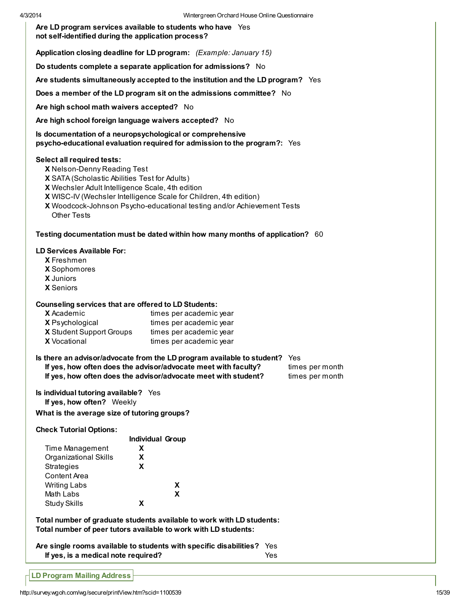Are LD program services available to students who have Yes not self-identified during the application process?

Application closing deadline for LD program: (Example: January 15)

Do students complete a separate application for admissions? No

Are students simultaneously accepted to the institution and the LD program? Yes

Does a member of the LD program sit on the admissions committee? No

Are high school math waivers accepted? No

Are high school foreign language waivers accepted? No

Is documentation of a neuropsychological or comprehensive psycho-educational evaluation required for admission to the program?: Yes

#### Select all required tests:

- X Nelson-Denny Reading Test
- X SATA (Scholastic Abilities Test for Adults)
- X Wechsler Adult Intelligence Scale, 4th edition
- X WISC-IV (Wechsler Intelligence Scale for Children, 4th edition)
- X Woodcock-Johnson Psycho-educational testing and/or Achievement Tests Other Tests

#### Testing documentation must be dated within how many months of application? 60

#### LD Services Available For:

- X Freshmen
- X Sophomores
- X Juniors
- X Seniors

#### Counseling services that are offered to LD Students:

| <b>X</b> Academic               | times per academic year |
|---------------------------------|-------------------------|
| <b>X</b> Psychological          | times per academic year |
| <b>X</b> Student Support Groups | times per academic year |
| <b>X</b> Vocational             | times per academic year |

#### Is there an advisor/advocate from the LD program available to student? Yes

If yes, how often does the advisor/advocate meet with faculty? times per month If yes, how often does the advisor/advocate meet with student? times per month

Is individual tutoring available? Yes If yes, how often? Weekly

What is the average size of tutoring groups?

Check Tutorial Options:

|                       | <b>Individual Group</b> |
|-----------------------|-------------------------|
| Time Management       | x                       |
| Organizational Skills | x                       |
| Strategies            | x                       |
| Content Area          |                         |
| <b>Writing Labs</b>   | x                       |
| Math Labs             | X                       |
| Study Skills          |                         |

Total number of graduate students available to work with LD students: Total number of peer tutors available to work with LD students:

Are single rooms available to students with specific disabilities? Yes If yes, is a medical note required? Yes

LD Program Mailing Address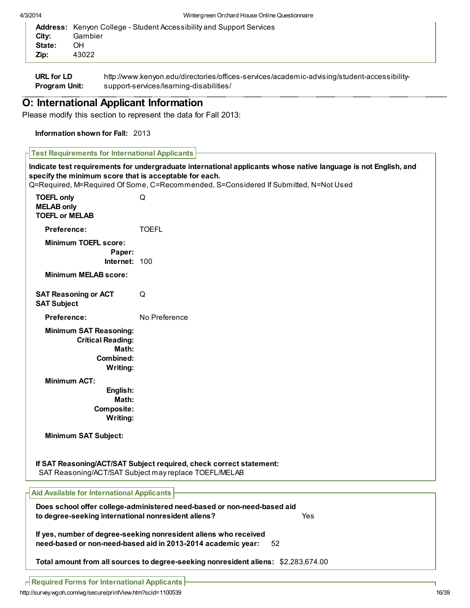| <b>Address:</b> Kenyon College - Student Accessibility and Support Services<br>Gambier<br>Citv:<br>State:<br>OН<br>43022<br>Zip: |  |
|----------------------------------------------------------------------------------------------------------------------------------|--|
|----------------------------------------------------------------------------------------------------------------------------------|--|

URL for LD Program Unit: http://www.kenyon.edu/directories/offices-services/academic-advising/student-accessibilitysupport-services/learning-disabilities/

# O: International Applicant Information

Please modify this section to represent the data for Fall 2013:

## Information shown for Fall: 2013

| Indicate test requirements for undergraduate international applicants whose native language is not English, and<br>specify the minimum score that is acceptable for each.<br>Q=Required, M=Required Of Some, C=Recommended, S=Considered If Submitted, N=Not Used |                                                                                                                                        |  |  |
|-------------------------------------------------------------------------------------------------------------------------------------------------------------------------------------------------------------------------------------------------------------------|----------------------------------------------------------------------------------------------------------------------------------------|--|--|
| <b>TOEFL only</b><br><b>MELAB only</b><br><b>TOEFL or MELAB</b>                                                                                                                                                                                                   | Q                                                                                                                                      |  |  |
| Preference:                                                                                                                                                                                                                                                       | <b>TOEFL</b>                                                                                                                           |  |  |
| <b>Minimum TOEFL score:</b><br>Paper:<br>Internet: 100                                                                                                                                                                                                            |                                                                                                                                        |  |  |
| <b>Minimum MELAB score:</b>                                                                                                                                                                                                                                       |                                                                                                                                        |  |  |
| <b>SAT Reasoning or ACT</b><br><b>SAT Subject</b>                                                                                                                                                                                                                 | Q                                                                                                                                      |  |  |
| Preference:                                                                                                                                                                                                                                                       | No Preference                                                                                                                          |  |  |
| <b>Minimum SAT Reasoning:</b><br><b>Critical Reading:</b><br>Math:<br>Combined:<br>Writing:                                                                                                                                                                       |                                                                                                                                        |  |  |
| <b>Minimum ACT:</b><br>English:<br>Math:<br>Composite:<br>Writing:                                                                                                                                                                                                |                                                                                                                                        |  |  |
| <b>Minimum SAT Subject:</b><br>If SAT Reasoning/ACT/SAT Subject required, check correct statement:<br>SAT Reasoning/ACT/SAT Subject may replace TOEFL/MELAB                                                                                                       |                                                                                                                                        |  |  |
| <b>Aid Available for International Applicants</b>                                                                                                                                                                                                                 |                                                                                                                                        |  |  |
| to degree-seeking international nonresident aliens?                                                                                                                                                                                                               | Does school offer college-administered need-based or non-need-based aid<br>Yes                                                         |  |  |
|                                                                                                                                                                                                                                                                   | If yes, number of degree-seeking nonresident aliens who received<br>need-based or non-need-based aid in 2013-2014 academic year:<br>52 |  |  |
| Total amount from all sources to degree-seeking nonresident aliens: \$2,283,674.00                                                                                                                                                                                |                                                                                                                                        |  |  |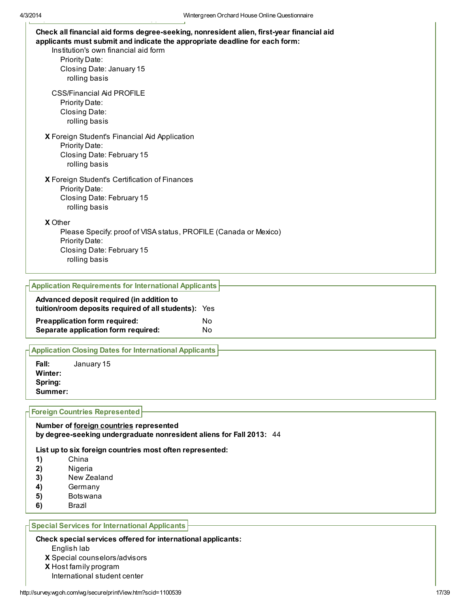| Check all financial aid forms degree-seeking, nonresident alien, first-year financial aid<br>applicants must submit and indicate the appropriate deadline for each form:<br>Institution's own financial aid form<br>Priority Date:<br>Closing Date: January 15<br>rolling basis |  |
|---------------------------------------------------------------------------------------------------------------------------------------------------------------------------------------------------------------------------------------------------------------------------------|--|
| <b>CSS/Financial Aid PROFILE</b><br>Priority Date:<br>Closing Date:<br>rolling basis                                                                                                                                                                                            |  |
| X Foreign Student's Financial Aid Application<br>Priority Date:<br>Closing Date: February 15<br>rolling basis                                                                                                                                                                   |  |
| X Foreign Student's Certification of Finances<br>Priority Date:<br>Closing Date: February 15<br>rolling basis                                                                                                                                                                   |  |
| <b>X</b> Other<br>Please Specify: proof of VISA status, PROFILE (Canada or Mexico)<br>Priority Date:<br>Closing Date: February 15<br>rolling basis                                                                                                                              |  |

# Application Requirements for International Applicants Advanced deposit required (in addition to tuition/room deposits required of all students): Yes **Preapplication form required:** No Separate application form required: No

## Application Closing Dates for International Applicants

Fall: January 15 Winter: Spring: Summer:

#### Foreign Countries Represented

#### Number of foreign countries represented by degree-seeking undergraduate nonresident aliens for Fall 2013: 44

List up to six foreign countries most often represented:

- 1) China
- 2) Nigeria
- 3) New Zealand
- 4) Germany
- 5) Botswana
- 6) Brazil

#### Special Services for International Applicants

#### Check special services offered for international applicants:

- English lab
- X Special counselors/advisors
- X Host family program
- International student center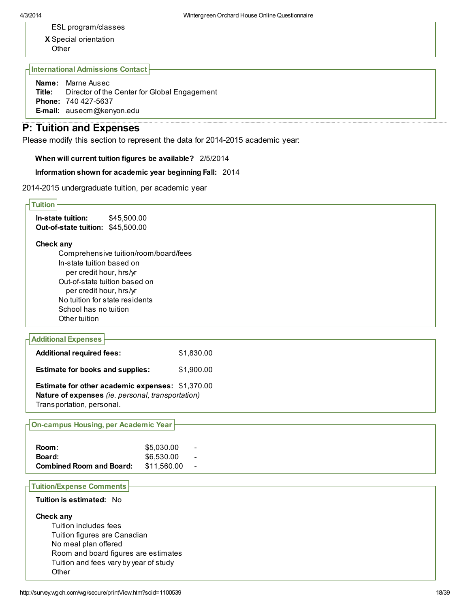- ESL program/classes
- X Special orientation **Other**

International Admissions Contact

Name: Marne Ausec Title: Director of the Center for Global Engagement Phone: 740 427-5637 E-mail: ausecm@kenyon.edu

# P: Tuition and Expenses

Please modify this section to represent the data for 2014-2015 academic year:

When will current tuition figures be available? 2/5/2014

### Information shown for academic year beginning Fall: 2014

2014-2015 undergraduate tuition, per academic year

| <b>Tuition</b>                                            |
|-----------------------------------------------------------|
|                                                           |
| In-state tuition:<br>\$45,500.00                          |
| Out-of-state tuition: \$45,500.00                         |
|                                                           |
| Check any                                                 |
| Comprehensive tuition/room/board/fees                     |
| In-state tuition based on                                 |
| per credit hour, hrs/yr                                   |
| Out-of-state tuition based on                             |
| per credit hour, hrs/yr<br>No tuition for state residents |
| School has no tuition                                     |
| Other tuition                                             |
|                                                           |
| <b>Additional Expenses</b>                                |
|                                                           |
| <b>Additional required fees:</b><br>\$1,830.00            |
| <b>Estimate for books and supplies:</b><br>\$1,900.00     |
|                                                           |
| Estimate for other academic expenses: \$1,370.00          |
| Nature of expenses (ie. personal, transportation)         |
| Transportation, personal.                                 |
|                                                           |
| <b>On-campus Housing, per Academic Year</b>               |
|                                                           |
| \$5,030.00<br>Room:                                       |
| \$6,530.00<br>Board:                                      |
| <b>Combined Room and Board:</b><br>\$11,560.00            |
|                                                           |
| <b>Tuition/Expense Comments</b>                           |
| Tuition is estimated: No                                  |
|                                                           |
| Check any                                                 |
| Tuition includes fees                                     |
| Tuition figures are Canadian                              |
| No meal plan offered                                      |
| Room and board figures are estimates                      |
| Tuition and fees vary by year of study                    |
| Other                                                     |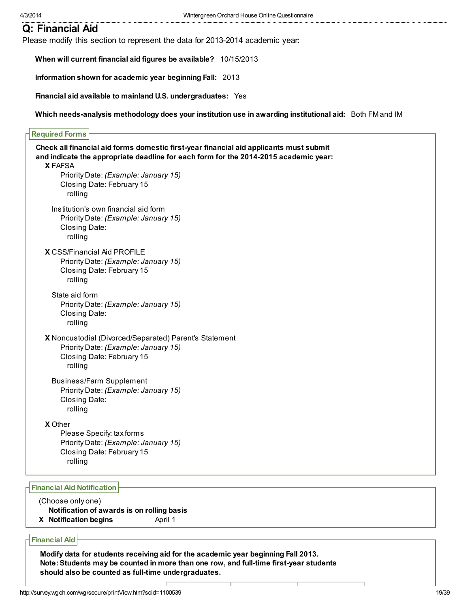# Q: Financial Aid

Please modify this section to represent the data for 2013-2014 academic year:

When will current financial aid figures be available? 10/15/2013

Information shown for academic year beginning Fall: 2013

Financial aid available to mainland U.S. undergraduates: Yes

Which needs-analysis methodology does your institution use in awarding institutional aid: Both FM and IM

| <b>Required Forms</b>              |                                                                                        |
|------------------------------------|----------------------------------------------------------------------------------------|
|                                    | Check all financial aid forms domestic first-year financial aid applicants must submit |
|                                    | and indicate the appropriate deadline for each form for the 2014-2015 academic year:   |
| <b>X FAFSA</b>                     |                                                                                        |
|                                    | Priority Date: (Example: January 15)                                                   |
|                                    | Closing Date: February 15                                                              |
| rolling                            |                                                                                        |
|                                    | Institution's own financial aid form                                                   |
| Closing Date:                      | Priority Date: (Example: January 15)                                                   |
| rolling                            |                                                                                        |
|                                    |                                                                                        |
| <b>X</b> CSS/Financial Aid PROFILE | Priority Date: (Example: January 15)                                                   |
|                                    | Closing Date: February 15                                                              |
| rolling                            |                                                                                        |
| State aid form                     |                                                                                        |
|                                    | Priority Date: (Example: January 15)                                                   |
| Closing Date:                      |                                                                                        |
| rolling                            |                                                                                        |
|                                    | X Noncustodial (Divorced/Separated) Parent's Statement                                 |
|                                    | Priority Date: (Example: January 15)                                                   |
|                                    | Closing Date: February 15                                                              |
| rolling                            |                                                                                        |
|                                    | <b>Business/Farm Supplement</b>                                                        |
|                                    | Priority Date: (Example: January 15)                                                   |
| Closing Date:<br>rolling           |                                                                                        |
|                                    |                                                                                        |
| X Other                            | Please Specify: tax forms                                                              |
|                                    | Priority Date: (Example: January 15)                                                   |
|                                    | Closing Date: February 15                                                              |
| rolling                            |                                                                                        |
|                                    |                                                                                        |

### Financial Aid Notification

#### (Choose only one)

Notification of awards is on rolling basis

X Notification begins April 1

### Financial Aid

Modify data for students receiving aid for the academic year beginning Fall 2013. Note: Students may be counted in more than one row, and full-time first-year students should also be counted as full-time undergraduates.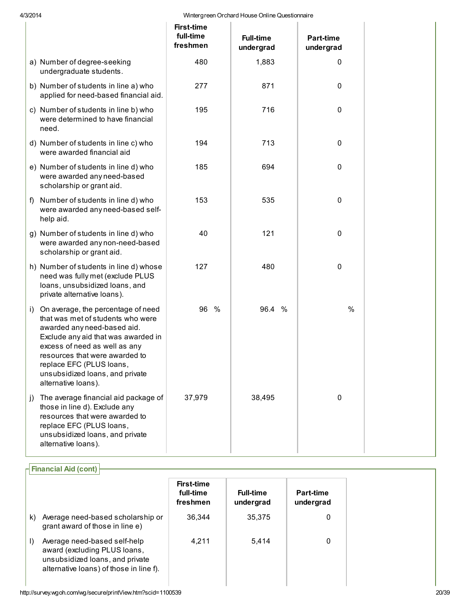| 4/3/2014<br>Wintergreen Orchard House Online Questionnaire |    |                                                                                                                                                                                                                                                                                                        |                                            |  |                               |   |                        |  |
|------------------------------------------------------------|----|--------------------------------------------------------------------------------------------------------------------------------------------------------------------------------------------------------------------------------------------------------------------------------------------------------|--------------------------------------------|--|-------------------------------|---|------------------------|--|
|                                                            |    |                                                                                                                                                                                                                                                                                                        | <b>First-time</b><br>full-time<br>freshmen |  | <b>Full-time</b><br>undergrad |   | Part-time<br>undergrad |  |
|                                                            |    | a) Number of degree-seeking<br>undergraduate students.                                                                                                                                                                                                                                                 | 480                                        |  | 1,883                         |   | 0                      |  |
|                                                            |    | b) Number of students in line a) who<br>applied for need-based financial aid.                                                                                                                                                                                                                          | 277                                        |  | 871                           |   | 0                      |  |
|                                                            |    | c) Number of students in line b) who<br>were determined to have financial<br>need.                                                                                                                                                                                                                     | 195                                        |  | 716                           |   | 0                      |  |
|                                                            |    | d) Number of students in line c) who<br>were awarded financial aid                                                                                                                                                                                                                                     | 194                                        |  | 713                           |   | 0                      |  |
|                                                            |    | e) Number of students in line d) who<br>were awarded any need-based<br>scholarship or grant aid.                                                                                                                                                                                                       | 185                                        |  | 694                           |   | 0                      |  |
|                                                            | f) | Number of students in line d) who<br>were awarded any need-based self-<br>help aid.                                                                                                                                                                                                                    | 153                                        |  | 535                           |   | 0                      |  |
|                                                            |    | g) Number of students in line d) who<br>were awarded any non-need-based<br>scholarship or grant aid.                                                                                                                                                                                                   | 40                                         |  | 121                           |   | 0                      |  |
|                                                            |    | h) Number of students in line d) whose<br>need was fully met (exclude PLUS<br>loans, unsubsidized loans, and<br>private alternative loans).                                                                                                                                                            | 127                                        |  | 480                           |   | 0                      |  |
|                                                            | i) | On average, the percentage of need<br>that was met of students who were<br>awarded any need-based aid.<br>Exclude any aid that was awarded in<br>excess of need as well as any<br>resources that were awarded to<br>replace EFC (PLUS loans,<br>unsubsidized loans, and private<br>alternative loans). | 96 %                                       |  | 96.4                          | % | %                      |  |
|                                                            | j) | The average financial aid package of<br>those in line d). Exclude any<br>resources that were awarded to<br>replace EFC (PLUS loans,<br>unsubsidized loans, and private<br>alternative loans).                                                                                                          | 37,979                                     |  | 38,495                        |   | 0                      |  |

|         | $\mathsf{\Gamma}$ Financial Aid (cont)                                                                                                     |                                            |                               |                               |
|---------|--------------------------------------------------------------------------------------------------------------------------------------------|--------------------------------------------|-------------------------------|-------------------------------|
|         |                                                                                                                                            | <b>First-time</b><br>full-time<br>freshmen | <b>Full-time</b><br>undergrad | <b>Part-time</b><br>undergrad |
| k)      | Average need-based scholarship or<br>grant award of those in line e)                                                                       | 36.344                                     | 35,375                        | 0                             |
| $\vert$ | Average need-based self-help<br>award (excluding PLUS loans,<br>unsubsidized loans, and private<br>alternative loans) of those in line f). | 4.211                                      | 5.414                         | 0                             |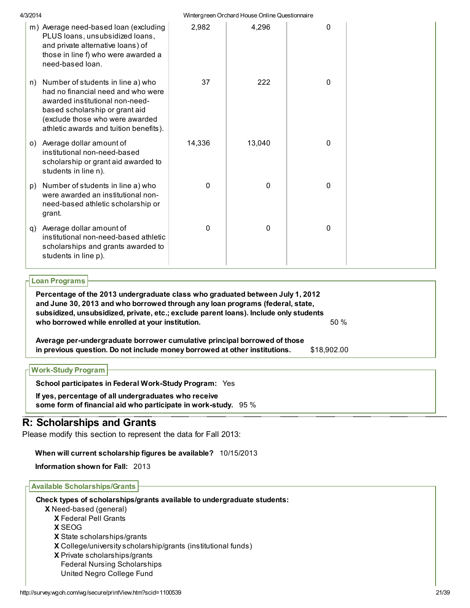| 4/3/2014 |                                                                                                                                                                                                                           |             | Wintergreen Orchard House Online Questionnaire |   |  |
|----------|---------------------------------------------------------------------------------------------------------------------------------------------------------------------------------------------------------------------------|-------------|------------------------------------------------|---|--|
|          | m) Average need-based loan (excluding<br>PLUS loans, unsubsidized loans,<br>and private alternative loans) of<br>those in line f) who were awarded a<br>need-based loan.                                                  | 2,982       | 4,296                                          | 0 |  |
| n)       | Number of students in line a) who<br>had no financial need and who were<br>awarded institutional non-need-<br>based scholarship or grant aid<br>(exclude those who were awarded<br>athletic awards and tuition benefits). | 37          | 222                                            | 0 |  |
| O()      | Average dollar amount of<br>institutional non-need-based<br>scholarship or grant aid awarded to<br>students in line n).                                                                                                   | 14,336      | 13,040                                         | 0 |  |
| p)       | Number of students in line a) who<br>were awarded an institutional non-<br>need-based athletic scholarship or<br>grant.                                                                                                   | $\mathbf 0$ | 0                                              | 0 |  |
| q)       | Average dollar amount of<br>institutional non-need-based athletic<br>scholarships and grants awarded to<br>students in line p).                                                                                           | $\Omega$    | 0                                              | 0 |  |

## Loan Programs

Percentage of the 2013 undergraduate class who graduated between July 1, 2012 and June 30, 2013 and who borrowed through any loan programs (federal, state, subsidized, unsubsidized, private, etc.; exclude parent loans). Include only students who borrowed while enrolled at your institution.  $50\%$ 

Average per-undergraduate borrower cumulative principal borrowed of those in previous question. Do not include money borrowed at other institutions. \$18,902.00

| ⊣ Work-Study Program <del> </del> |                                                                |  |
|-----------------------------------|----------------------------------------------------------------|--|
|                                   | <b>School participates in Federal Work-Study Program: Yes</b>  |  |
|                                   | If yes, percentage of all undergraduates who receive           |  |
|                                   | some form of financial aid who participate in work-study. 95 % |  |

# R: Scholarships and Grants

Please modify this section to represent the data for Fall 2013:

## When will current scholarship figures be available? 10/15/2013

Information shown for Fall: 2013

## Available Scholarships/Grants

Check types of scholarships/grants available to undergraduate students:

- X Need-based (general)
- X Federal Pell Grants
- X SEOG
- X State scholarships/grants
- X College/university scholarship/grants (institutional funds)
- X Private scholarships/grants
- Federal Nursing Scholarships United Negro College Fund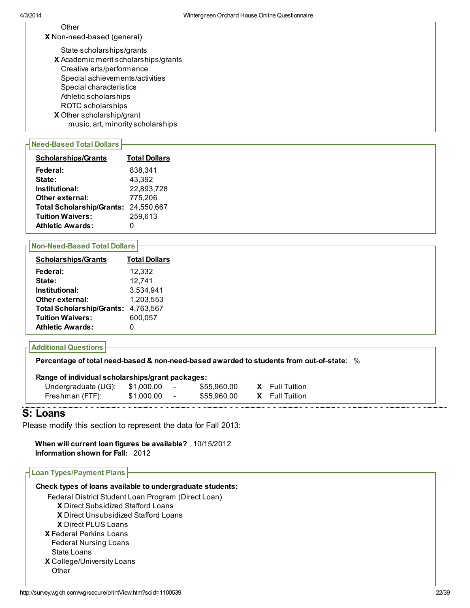**Other** 

X Non-need-based (general)

X Academic merit scholarships/grants X Other scholarship/grant State scholarships/grants Creative arts/performance Special achievements/activities Special characteristics Athletic scholarships ROTC scholarships music, art, minority scholarships

#### Need-Based Total Dollars

| <b>Scholarships/Grants</b>       | <b>Total Dollars</b> |
|----------------------------------|----------------------|
| Federal:                         | 838.341              |
| State:                           | 43,392               |
| Institutional:                   | 22,893,728           |
| Other external:                  | 775.206              |
| <b>Total Scholarship/Grants:</b> | 24.550.667           |
| <b>Tuition Waivers:</b>          | 259,613              |
| <b>Athletic Awards:</b>          |                      |

#### Non-Need-Based Total Dollars

| <b>Scholarships/Grants</b>       | <b>Total Dollars</b> |
|----------------------------------|----------------------|
| Federal:                         | 12.332               |
| State:                           | 12.741               |
| Institutional:                   | 3,534,941            |
| Other external:                  | 1,203,553            |
| <b>Total Scholarship/Grants:</b> | 4.763.567            |
| <b>Tuition Waivers:</b>          | 600.057              |
| <b>Athletic Awards:</b>          |                      |

## Additional Questions

Percentage of total need-based & non-need-based awarded to students from out-of-state: %

| Range of individual scholarships/grant packages: |            |                          |             |  |                       |
|--------------------------------------------------|------------|--------------------------|-------------|--|-----------------------|
| Undergraduate (UG):                              | \$1.000.00 | $\overline{\phantom{a}}$ | \$55.960.00 |  | <b>X</b> Full Tuition |
| Freshman (FTF):                                  | \$1.000.00 | $\overline{\phantom{0}}$ | \$55.960.00 |  | <b>X</b> Full Tuition |

## S: Loans

Please modify this section to represent the data for Fall 2013:

When will current loan figures be available? 10/15/2012 Information shown for Fall: 2012

## Loan Types/Payment Plans

| Check types of loans available to undergraduate students: |  |
|-----------------------------------------------------------|--|
| Federal District Student Loan Program (Direct Loan)       |  |
| <b>X</b> Direct Subsidized Stafford Loans                 |  |
| <b>X</b> Direct Unsubsidized Stafford Loans               |  |
| <b>X</b> Direct PLUS Loans                                |  |
| <b>X</b> Federal Perkins Loans                            |  |
| <b>Federal Nursing Loans</b>                              |  |
| State Loans                                               |  |
| X College/University Loans                                |  |
| Other                                                     |  |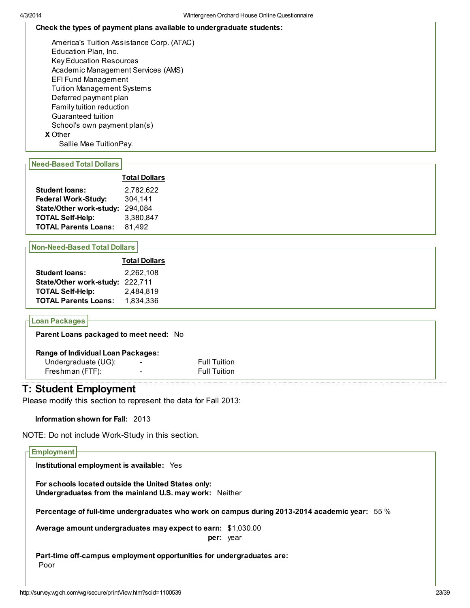#### Check the types of payment plans available to undergraduate students:

X Other America's Tuition Assistance Corp. (ATAC) Education Plan, Inc. Key Education Resources Academic Management Services (AMS) EFI Fund Management Tuition Management Systems Deferred payment plan Family tuition reduction Guaranteed tuition School's own payment plan(s) Sallie Mae TuitionPay.

## Need-Based Total Dollars

|                             | <b>Total Dollars</b> |
|-----------------------------|----------------------|
| <b>Student loans:</b>       | 2.782.622            |
| Federal Work-Study:         | 304.141              |
| State/Other work-study:     | 294,084              |
| <b>TOTAL Self-Help:</b>     | 3,380,847            |
| <b>TOTAL Parents Loans:</b> | 81.492               |

#### Non-Need-Based Total Dollars

|                                 | <b>Total Dollars</b> |
|---------------------------------|----------------------|
| <b>Student loans:</b>           | 2,262,108            |
| State/Other work-study: 222,711 |                      |
| <b>TOTAL Self-Help:</b>         | 2,484,819            |
| <b>TOTAL Parents Loans:</b>     | 1,834,336            |

## Loan Packages

Parent Loans packaged to meet need: No

#### Range of Individual Loan Packages:

| Undergraduate (UG): | $\overline{\phantom{0}}$ | <b>Full Tuition</b> |
|---------------------|--------------------------|---------------------|
| Freshman (FTF):     | $\overline{\phantom{0}}$ | <b>Full Tuition</b> |

## T: Student Employment

Please modify this section to represent the data for Fall 2013:

### Information shown for Fall: 2013

NOTE: Do not include Work-Study in this section.

# **Employment** Institutional employment is available: Yes For schools located outside the United States only: Undergraduates from the mainland U.S. may work: Neither Percentage of full-time undergraduates who work on campus during 2013-2014 academic year: 55 % Average amount undergraduates may expect to earn: \$1,030.00 per: year Part-time off-campus employment opportunities for undergraduates are: Poor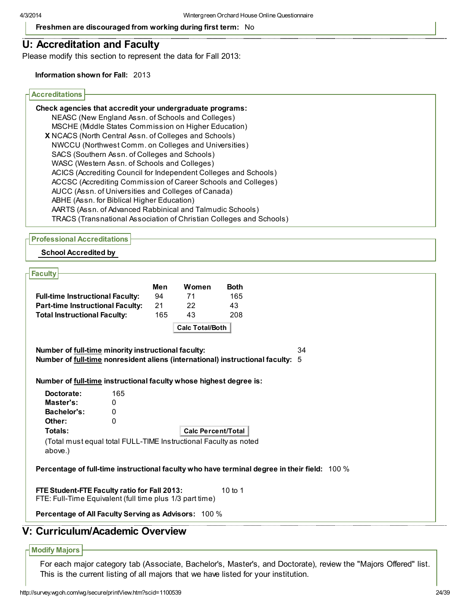Freshmen are discouraged from working during first term: No

## U: Accreditation and Faculty

Please modify this section to represent the data for Fall 2013:

Information shown for Fall: 2013

#### Accreditations

| Check agencies that accredit your undergraduate programs:           |
|---------------------------------------------------------------------|
| NEASC (New England Assn. of Schools and Colleges)                   |
| MSCHE (Middle States Commission on Higher Education)                |
| X NCACS (North Central Assn. of Colleges and Schools)               |
| NWCCU (Northwest Comm. on Colleges and Universities)                |
| SACS (Southern Assn. of Colleges and Schools)                       |
| WASC (Western Assn. of Schools and Colleges)                        |
| ACICS (Accrediting Council for Independent Colleges and Schools)    |
| ACCSC (Accrediting Commission of Career Schools and Colleges)       |
| AUCC (Assn. of Universities and Colleges of Canada)                 |
| ABHE (Assn. for Biblical Higher Education)                          |
| AARTS (Assn. of Advanced Rabbinical and Talmudic Schools)           |
| TRACS (Transnational Association of Christian Colleges and Schools) |
|                                                                     |

Professional Accreditations

School Accredited by

#### **Faculty**

| <b>Full-time Instructional Faculty:</b> | Men<br>94 | Women<br>71            | <b>Both</b><br>165 |
|-----------------------------------------|-----------|------------------------|--------------------|
| <b>Part-time Instructional Faculty:</b> | 21        | 22                     | 43                 |
| <b>Total Instructional Faculty:</b>     | 165       | 43                     | 208                |
|                                         |           | <b>Calc Total/Both</b> |                    |

Number of full-time minority instructional faculty: 34 Number of full-time nonresident aliens (international) instructional faculty: 5

Number of **full-time** instructional faculty whose highest degree is:

| Doctorate:  | 165 |                                                                  |
|-------------|-----|------------------------------------------------------------------|
| Master's:   |     |                                                                  |
| Bachelor's: |     |                                                                  |
| Other:      |     |                                                                  |
| Totals:     |     | <b>Calc Percent/Total</b>                                        |
| above.)     |     | (Total must equal total FULL-TIME Instructional Faculty as noted |

Percentage of full-time instructional faculty who have terminal degree in their field: 100 %

FTE Student-FTE Faculty ratio for Fall 2013: FTE: Full-Time Equivalent (full time plus 1/3 part time) 10 to 1

Percentage of All Faculty Serving as Advisors: 100 %

## V: Curriculum/Academic Overview

### Modify Majors

For each major category tab (Associate, Bachelor's, Master's, and Doctorate), review the "Majors Offered" list. This is the current listing of all majors that we have listed for your institution.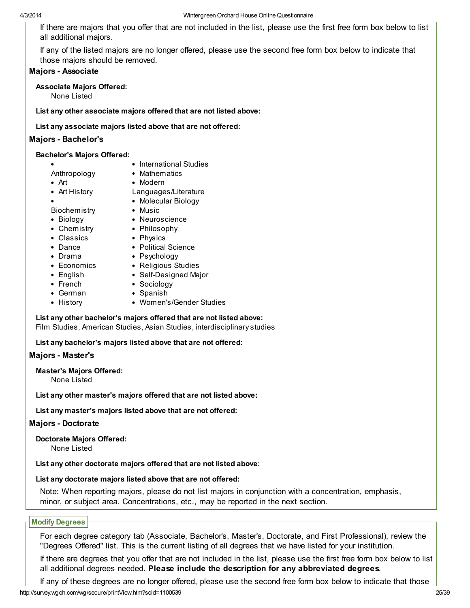If there are majors that you offer that are not included in the list, please use the first free form box below to list all additional majors.

If any of the listed majors are no longer offered, please use the second free form box below to indicate that those majors should be removed.

## Majors - Associate

### Associate Majors Offered:

None Listed

List any other associate majors offered that are not listed above:

List any associate majors listed above that are not offered:

### Majors - Bachelor's

#### Bachelor's Majors Offered:

- International Studies
- Mathematics
- Art
- Modern
- Art History

Anthropology

Languages/Literature Molecular Biology

Biochemistry

- Biology
- Neuroscience Philosophy

• Music

- Chemistry Classics
- Dance
- Political Science
- Drama
- Psychology • Religious Studies

• Physics

- Economics • English
- Self-Designed Major
- French
- Sociology • Spanish
- German • History
- Women's/Gender Studies

List any other bachelor's majors offered that are not listed above:

Film Studies, American Studies, Asian Studies, interdisciplinary studies

List any bachelor's majors listed above that are not offered:

### Majors - Master's

Master's Majors Offered:

None Listed

List any other master's majors offered that are not listed above:

List any master's majors listed above that are not offered:

### Majors - Doctorate

Doctorate Majors Offered:

None Listed

List any other doctorate majors offered that are not listed above:

### List any doctorate majors listed above that are not offered:

Note: When reporting majors, please do not list majors in conjunction with a concentration, emphasis, minor, or subject area. Concentrations, etc., may be reported in the next section.

## Modify Degrees

For each degree category tab (Associate, Bachelor's, Master's, Doctorate, and First Professional), review the "Degrees Offered" list. This is the current listing of all degrees that we have listed for your institution.

If there are degrees that you offer that are not included in the list, please use the first free form box below to list all additional degrees needed. Please include the description for any abbreviated degrees.

http://survey.wgoh.com/wg/secure/printView.htm?scid=1100539 25/39 If any of these degrees are no longer offered, please use the second free form box below to indicate that those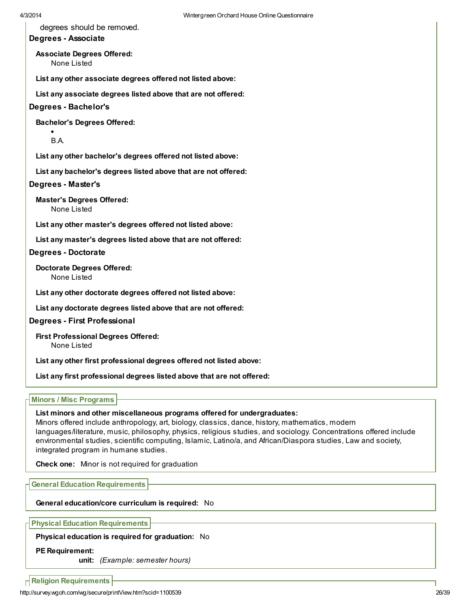degrees should be removed.

## Degrees - Associate

Associate Degrees Offered: None Listed

List any other associate degrees offered not listed above:

List any associate degrees listed above that are not offered:

#### Degrees - Bachelor's

Bachelor's Degrees Offered:

B.A.

List any other bachelor's degrees offered not listed above:

List any bachelor's degrees listed above that are not offered:

#### Degrees - Master's

Master's Degrees Offered: None Listed

List any other master's degrees offered not listed above:

List any master's degrees listed above that are not offered:

Degrees - Doctorate

Doctorate Degrees Offered: None Listed

List any other doctorate degrees offered not listed above:

List any doctorate degrees listed above that are not offered:

#### Degrees - First Professional

First Professional Degrees Offered: None Listed

List any other first professional degrees offered not listed above:

List any first professional degrees listed above that are not offered:

### Minors / Misc Programs

#### List minors and other miscellaneous programs offered for undergraduates:

Minors offered include anthropology, art, biology, classics, dance, history, mathematics, modern languages/literature, music, philosophy, physics, religious studies, and sociology. Concentrations offered include environmental studies, scientific computing, Islamic, Latino/a, and African/Diaspora studies, Law and society, integrated program in humane studies.

Check one: Minor is not required for graduation

General Education Requirements

General education/core curriculum is required: No

Physical Education Requirements

Physical education is required for graduation: No

#### PE Requirement:

unit: (Example: semester hours)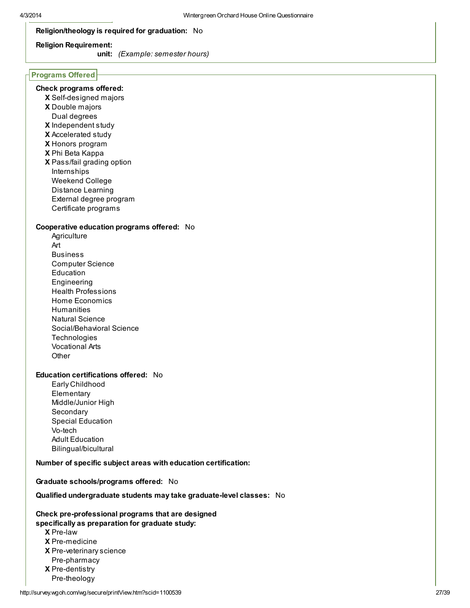## Religion/theology is required for graduation: No

#### Religion Requirement:

unit: (Example: semester hours)

### Programs Offered

## Check programs offered:

- X Self-designed majors
- X Double majors
- Dual degrees
- X Independent study
- X Accelerated study
- X Honors program
- X Phi Beta Kappa
- X Pass/fail grading option Internships Weekend College Distance Learning External degree program Certificate programs

#### Cooperative education programs offered: No

**Agriculture** Art Business Computer Science Education Engineering Health Professions Home Economics **Humanities** Natural Science Social/Behavioral Science **Technologies** Vocational Arts **Other** 

### Education certifications offered: No

Early Childhood **Elementary** Middle/Junior High **Secondary** Special Education Vo-tech Adult Education Bilingual/bicultural

#### Number of specific subject areas with education certification:

#### Graduate schools/programs offered: No

#### Qualified undergraduate students may take graduate-level classes: No

#### Check pre-professional programs that are designed specifically as preparation for graduate study:

- X Pre-law
- X Pre-medicine
- X Pre-veterinary science
- Pre-pharmacy
- X Pre-dentistry
- Pre-theology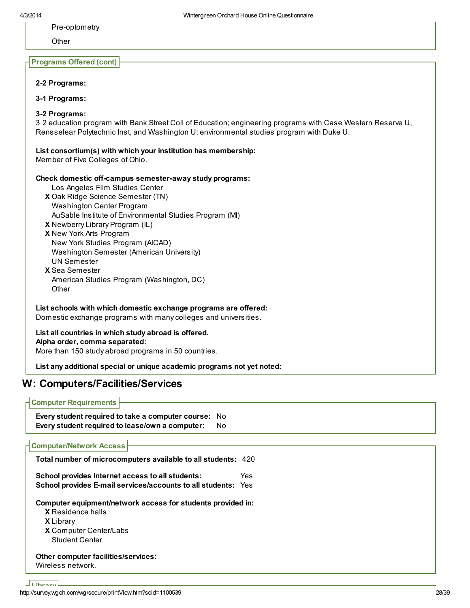Pre-optometry

**Other** 

#### Programs Offered (cont)

#### 2-2 Programs:

3-1 Programs:

#### 3-2 Programs:

3‐2 education program with Bank Street Coll of Education; engineering programs with Case Western Reserve U, Rensselear Polytechnic Inst, and Washington U; environmental studies program with Duke U.

#### List consortium(s) with which your institution has membership:

Member of Five Colleges of Ohio.

#### Check domestic off-campus semester-away study programs:

- Los Angeles Film Studies Center
- X Oak Ridge Science Semester (TN) Washington Center Program
	- AuSable Institute of Environmental Studies Program (MI)
- X Newberry Library Program (IL)
- X New York Arts Program
- New York Studies Program (AICAD) Washington Semester (American University) UN Semester
- X Sea Semester American Studies Program (Washington, DC) **Other**

List schools with which domestic exchange programs are offered: Domestic exchange programs with many colleges and universities.

### List all countries in which study abroad is offered. Alpha order, comma separated:

More than 150 study abroad programs in 50 countries.

List any additional special or unique academic programs not yet noted:

## W: Computers/Facilities/Services

Computer Requirements

Every student required to take a computer course: No Every student required to lease/own a computer: No

### Computer/Network Access

Total number of microcomputers available to all students: 420

| School provides Internet access to all students:                     | Yes |
|----------------------------------------------------------------------|-----|
| <b>School provides E-mail services/accounts to all students: Yes</b> |     |

Computer equipment/network access for students provided in:

X Residence halls

X Library

X Computer Center/Labs Student Center

#### Other computer facilities/services: Wireless network.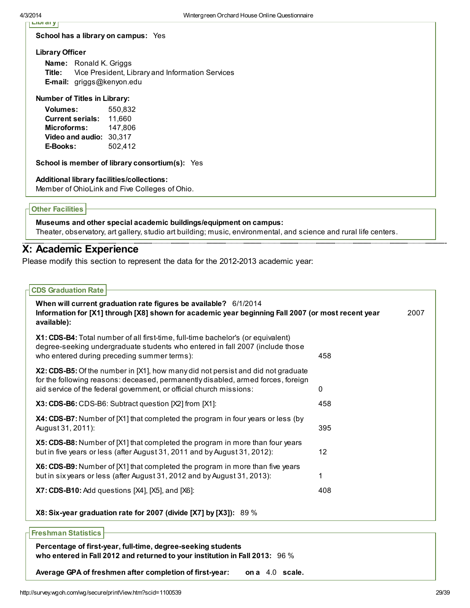| 4/3/2014                                         | Wintergreen Orchard House                               |
|--------------------------------------------------|---------------------------------------------------------|
| Libi di y<br>School has a library on campus: Yes |                                                         |
| <b>Library Officer</b>                           |                                                         |
| Ronald K. Griggs<br>Name:                        |                                                         |
|                                                  | Title: Vice President, Library and Information Services |
| <b>E-mail:</b> griggs@kenyon.edu                 |                                                         |
| <b>Number of Titles in Library:</b>              |                                                         |
| Volumes:                                         | 550,832                                                 |
| <b>Current serials:</b>                          | 11,660                                                  |
| <b>Microforms:</b> 147,806                       |                                                         |
| Video and audio: 30,317                          |                                                         |
| E-Books:                                         | 502,412                                                 |
|                                                  | School is member of library consortium(s): Yes          |
| Additional library facilities/collections:       |                                                         |
|                                                  | Member of OhioLink and Five Colleges of Ohio.           |
|                                                  |                                                         |
| <b>Other Facilities</b>                          |                                                         |
|                                                  |                                                         |

Museums and other special academic buildings/equipment on campus: Theater, observatory, art gallery, studio art building; music, environmental, and science and rural life centers.

# X: Academic Experience

Please modify this section to represent the data for the 2012-2013 academic year:

# CDS Graduation Rate When will current graduation rate figures be available? 6/1/2014 Information for [X1] through [X8] shown for academic year beginning Fall 2007 (or most recent year available): 2007 X1: CDS-B4: Total number of all first-time, full-time bachelor's (or equivalent) degree-seeking undergraduate students who entered in fall 2007 (include those who entered during preceding summer terms):  $458$ X2: CDS-B5: Of the number in [X1], how many did not persist and did not graduate for the following reasons: deceased, permanently disabled, armed forces, foreign aid service of the federal government, or official church missions: 0 X3: CDS-B6: CDS-B6: Subtract question [X2] from [X1]: 458 X4: CDS-B7: Number of [X1] that completed the program in four years or less (by August 31, 2011): 395 X5: CDS-B8: Number of [X1] that completed the program in more than four years but in five years or less (after August 31, 2011 and by August 31, 2012): 12 X6: CDS-B9: Number of [X1] that completed the program in more than five years but in six years or less (after August 31, 2012 and by August 31, 2013): 1 X7: CDS-B10: Add questions [X4], [X5], and [X6]: 408 X8: Six-year graduation rate for 2007 (divide [X7] by [X3]): 89 % Freshman Statistics

Percentage of first-year, full-time, degree-seeking students who entered in Fall 2012 and returned to your institution in Fall 2013: 96 %

Average GPA of freshmen after completion of first-year: on a 4.0 scale.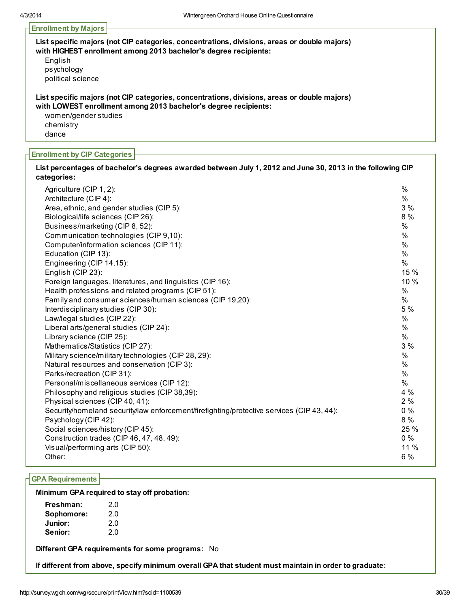## Enrollment by Majors

| List specific majors (not CIP categories, concentrations, divisions, areas or double majors)<br>with HIGHEST enrollment among 2013 bachelor's degree recipients: |
|------------------------------------------------------------------------------------------------------------------------------------------------------------------|
| English                                                                                                                                                          |
| psychology                                                                                                                                                       |
| political science                                                                                                                                                |
| List specific majors (not CIP categories, concentrations, divisions, areas or double majors)                                                                     |
| with LOWEST enrollment among 2013 bachelor's degree recipients:                                                                                                  |
| women/gender studies                                                                                                                                             |
| chemistry                                                                                                                                                        |
| dance                                                                                                                                                            |

#### Enrollment by CIP Categories

| List percentages of bachelor's degrees awarded between July 1, 2012 and June 30, 2013 in the following CIP<br>categories: |               |
|---------------------------------------------------------------------------------------------------------------------------|---------------|
| Agriculture (CIP 1, 2):                                                                                                   | $\frac{0}{0}$ |
| Architecture (CIP 4):                                                                                                     | $\%$          |
| Area, ethnic, and gender studies (CIP 5):                                                                                 | 3%            |
| Biological/life sciences (CIP 26):                                                                                        | 8 %           |
| Business/marketing (CIP 8, 52):                                                                                           | $\%$          |
| Communication technologies (CIP 9,10):                                                                                    | $\%$          |
| Computer/information sciences (CIP 11):                                                                                   | $\%$          |
| Education (CIP 13):                                                                                                       | $\%$          |
| Engineering (CIP 14,15):                                                                                                  | $\%$          |
| English (CIP 23):                                                                                                         | 15 %          |
| Foreign languages, literatures, and linguistics (CIP 16):                                                                 | 10 %          |
| Health professions and related programs (CIP 51):                                                                         | $\%$          |
| Family and consumer sciences/human sciences (CIP 19,20):                                                                  | $\%$          |
| Interdisciplinary studies (CIP 30):                                                                                       | 5 %           |
| Law/legal studies (CIP 22):                                                                                               | $\%$          |
| Liberal arts/general studies (CIP 24):                                                                                    | $\%$          |
| Library science (CIP 25):                                                                                                 | $\%$          |
| Mathematics/Statistics (CIP 27):                                                                                          | 3 %           |
| Military science/military technologies (CIP 28, 29):                                                                      | $\%$          |
| Natural resources and conservation (CIP 3):                                                                               | %             |
| Parks/recreation (CIP 31):                                                                                                | $\%$          |
| Personal/miscellaneous services (CIP 12):                                                                                 | $\%$          |
| Philosophy and religious studies (CIP 38,39):                                                                             | 4 %           |
| Physical sciences (CIP 40, 41):                                                                                           | 2%            |
| Security/homeland security/law enforcement/firefighting/protective services (CIP 43, 44):                                 | $0\%$         |
| Psychology (CIP 42):                                                                                                      | 8 %           |
| Social sciences/history (CIP 45):                                                                                         | 25 %          |
| Construction trades (CIP 46, 47, 48, 49):                                                                                 | $0\%$         |
| Visual/performing arts (CIP 50):                                                                                          | 11 %          |
| Other:                                                                                                                    | 6 %           |

## GPA Requirements

#### Minimum GPA required to stay off probation:

| Freshman:  | 2.0 |
|------------|-----|
| Sophomore: | 2.0 |
| Junior:    | 2.0 |
| Senior:    | 2.0 |

Different GPA requirements for some programs: No

If different from above, specify minimum overall GPA that student must maintain in order to graduate: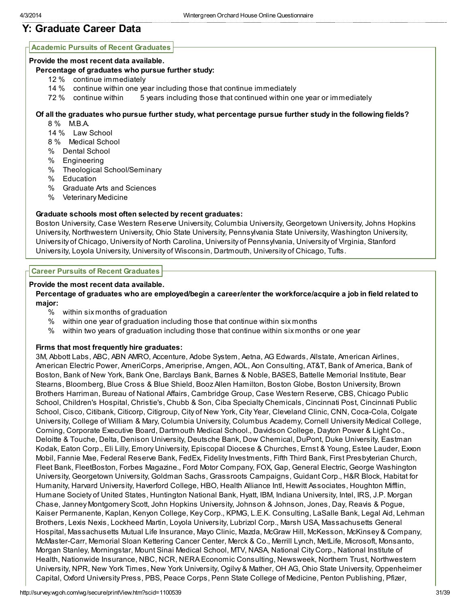# Y: Graduate Career Data

## Academic Pursuits of Recent Graduates

### Provide the most recent data available.

### Percentage of graduates who pursue further study:

- 12 % continue immediately
- 14 % continue within one year including those that continue immediately
- 72 % continue within 5 years including those that continued within one year or immediately

## Of all the graduates who pursue further study, what percentage pursue further study in the following fields?

- 8 % M.B.A.
- 14 % Law School
- 8 % Medical School
- % Dental School
- % Engineering
- % Theological School/Seminary
- % Education
- % Graduate Arts and Sciences
- % Veterinary Medicine

## Graduate schools most often selected by recent graduates:

Boston University, Case Western Reserve University, Columbia University, Georgetown University, Johns Hopkins University, Northwestern University, Ohio State University, Pennsylvania State University, Washington University, University of Chicago, University of North Carolina, University of Pennsylvania, University of Virginia, Stanford University, Loyola University, University of Wisconsin, Dartmouth, University of Chicago, Tufts.

### Career Pursuits of Recent Graduates

## Provide the most recent data available.

### Percentage of graduates who are employed/begin a career/enter the workforce/acquire a job in field related to major:

- % within six months of graduation
- % within one year of graduation including those that continue within six months
- % within two years of graduation including those that continue within six months or one year

## Firms that most frequently hire graduates:

3M, Abbott Labs, ABC, ABN AMRO, Accenture, Adobe System, Aetna, AG Edwards, Allstate, American Airlines, American Electric Power, AmeriCorps, Ameriprise, Amgen, AOL, Aon Consulting, AT&T, Bank of America, Bank of Boston, Bank of New York, Bank One, Barclays Bank, Barnes & Noble, BASES, Battelle Memorial Institute, Bear Stearns, Bloomberg, Blue Cross & Blue Shield, Booz Allen Hamilton, Boston Globe, Boston University, Brown Brothers Harriman, Bureau of National Affairs, Cambridge Group, Case Western Reserve, CBS, Chicago Public School, Children's Hospital, Christie's, Chubb & Son, Ciba Specialty Chemicals, Cincinnati Post, Cincinnati Public School, Cisco, Citibank, Citicorp, Citigroup, City of New York, City Year, Cleveland Clinic, CNN, Coca-Cola, Colgate University, College of William & Mary, Columbia University, Columbus Academy, Cornell University Medical College, Corning, Corporate Executive Board, Dartmouth Medical School., Davidson College, Dayton Power & Light Co., Deloitte & Touche, Delta, Denison University, Deutsche Bank, Dow Chemical, DuPont, Duke University, Eastman Kodak, Eaton Corp., Eli Lilly, Emory University, Episcopal Diocese & Churches, Ernst & Young, Estee Lauder, Exxon Mobil, Fannie Mae, Federal Reserve Bank, FedEx, Fidelity Investments, Fifth Third Bank, First Presbyterian Church, Fleet Bank, FleetBoston, Forbes Magazine., Ford Motor Company, FOX, Gap, General Electric, George Washington University, Georgetown University, Goldman Sachs, Grassroots Campaigns, Guidant Corp., H&R Block, Habitat for Humanity, Harvard University, Haverford College, HBO, Health Alliance Intl, Hewitt Associates, Houghton Mifflin, Humane Society of United States, Huntington National Bank, Hyatt, IBM, Indiana University, Intel, IRS, J.P. Morgan Chase, Janney Montgomery Scott, John Hopkins University, Johnson & Johnson, Jones, Day, Reavis & Pogue, Kaiser Permanente, Kaplan, Kenyon College, Key Corp., KPMG, L.E.K. Consulting, LaSalle Bank, Legal Aid, Lehman Brothers, Lexis Nexis, Lockheed Martin, Loyola University, Lubrizol Corp., Marsh USA, Massachusetts General Hospital, Massachusetts Mutual Life Insurance, Mayo Clinic, Mazda, McGraw Hill, McKesson, McKinsey & Company, McMaster-Carr, Memorial Sloan Kettering Cancer Center, Merck & Co., Merrill Lynch, MetLife, Microsoft, Monsanto, Morgan Stanley, Morningstar, Mount Sinai Medical School, MTV, NASA, National City Corp., National Institute of Health, Nationwide Insurance, NBC, NCR, NERA Economic Consulting, Newsweek, Northern Trust, Northwestern University, NPR, New York Times, New York University, Ogilvy & Mather, OH AG, Ohio State University, Oppenheimer Capital, Oxford University Press, PBS, Peace Corps, Penn State College of Medicine, Penton Publishing, Pfizer,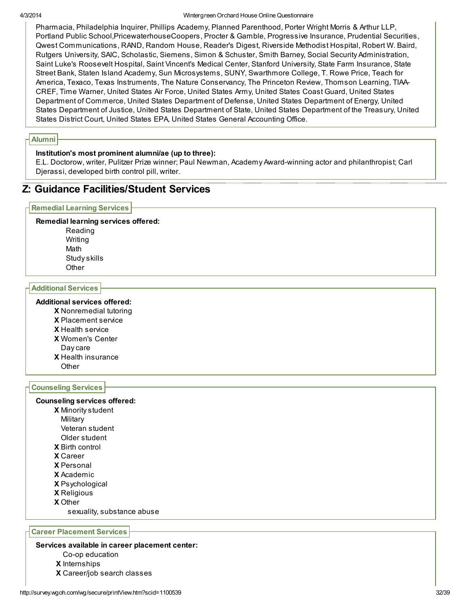#### 4/3/2014 Wintergreen Orchard House Online Questionnaire

Pharmacia, Philadelphia Inquirer, Phillips Academy, Planned Parenthood, Porter Wright Morris & Arthur LLP, Portland Public School,PricewaterhouseCoopers, Procter & Gamble, Progressive Insurance, Prudential Securities, Qwest Communications, RAND, Random House, Reader's Digest, Riverside Methodist Hospital, Robert W. Baird, Rutgers University, SAIC, Scholastic, Siemens, Simon & Schuster, Smith Barney, Social Security Administration, Saint Luke's Roosevelt Hospital, Saint Vincent's Medical Center, Stanford University, State Farm Insurance, State Street Bank, Staten Island Academy, Sun Microsystems, SUNY, Swarthmore College, T. Rowe Price, Teach for America, Texaco, Texas Instruments, The Nature Conservancy, The Princeton Review, Thomson Learning, TIAA-CREF, Time Warner, United States Air Force, United States Army, United States Coast Guard, United States Department of Commerce, United States Department of Defense, United States Department of Energy, United States Department of Justice, United States Department of State, United States Department of the Treasury, United States District Court, United States EPA, United States General Accounting Office.

### Alumni

#### Institution's most prominent alumni/ae (up to three):

E.L. Doctorow, writer, Pulitzer Prize winner; Paul Newman, Academy Award-winning actor and philanthropist; Carl Djerassi, developed birth control pill, writer.

## Z: Guidance Facilities/Student Services

#### Remedial Learning Services

#### Remedial learning services offered:

Reading Writing Math Study skills **Other** 

#### Additional Services

### Additional services offered:

- X Nonremedial tutoring
- X Placement service
- X Health service
- X Women's Center
- Day care
- X Health insurance
- **Other**

#### Counseling Services

#### Counseling services offered:

- X Minority student
- **Military**
- Veteran student
- Older student
- X Birth control
- X Career
- X Personal
- X Academic
- X Psychological
- X Religious
- X Other
	- sexuality, substance abuse

## Career Placement Services

#### Services available in career placement center:

- Co-op education
- X Internships
- X Career/job search classes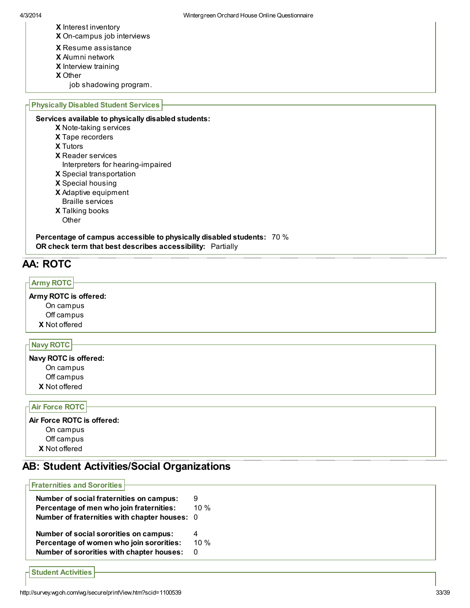- X Interest inventory
- X On-campus job interviews
- X Resume assistance
- X Alumni network
- X Interview training
- X Other
- job shadowing program.

#### Physically Disabled Student Services

Services available to physically disabled students:

- X Note-taking services
- X Tape recorders
- X Tutors
- X Reader services
- Interpreters for hearing-impaired
- X Special transportation
- X Special housing
- X Adaptive equipment
- X Talking books Braille services
	- **Other**

Percentage of campus accessible to physically disabled students: 70 % OR check term that best describes accessibility: Partially

# AA: ROTC

## Army ROTC

## Army ROTC is offered:

X Not offered On campus Off campus

## Navy ROTC

X Not offered Navy ROTC is offered: On campus Off campus

#### Air Force ROTC

## X Not offered Air Force ROTC is offered: On campus Off campus

# AB: Student Activities/Social Organizations

| <b>Fraternities and Sororities</b>          |        |
|---------------------------------------------|--------|
| Number of social fraternities on campus:    | 9      |
| Percentage of men who join fraternities:    | 10 $%$ |
| Number of fraternities with chapter houses: | - 0    |
| Number of social sororities on campus:      | 4      |
| Percentage of women who join sororities:    | 10 $%$ |
| Number of sororities with chapter houses:   | O      |

Student Activities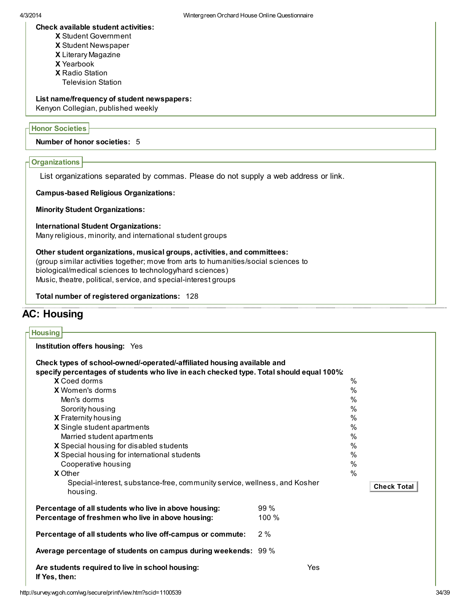### Check available student activities:

- X Student Government
- X Student Newspaper
- X Literary Magazine
- X Yearbook
- X Radio Station
- Television Station

## List name/frequency of student newspapers:

Kenyon Collegian, published weekly

## Honor Societies

## Number of honor societies: 5

## **Organizations**

List organizations separated by commas. Please do not supply a web address or link.

Campus-based Religious Organizations:

Minority Student Organizations:

### International Student Organizations:

Many religious, minority, and international student groups

# Other student organizations, musical groups, activities, and committees:

(group similar activities together; move from arts to humanities/social sciences to biological/medical sciences to technology/hard sciences) Music, theatre, political, service, and special-interest groups

Total number of registered organizations: 128

# AC: Housing

| <b>Housing</b>                                                                                                 |                                         |               |  |  |  |
|----------------------------------------------------------------------------------------------------------------|-----------------------------------------|---------------|--|--|--|
| Institution offers housing: Yes                                                                                |                                         |               |  |  |  |
| Check types of school-owned/-operated/-affiliated housing available and                                        |                                         |               |  |  |  |
| specify percentages of students who live in each checked type. Total should equal 100%:<br><b>X</b> Coed dorms |                                         | $\%$          |  |  |  |
| <b>X</b> Women's dorms                                                                                         |                                         | $\frac{0}{0}$ |  |  |  |
| Men's dorms                                                                                                    |                                         | $\%$          |  |  |  |
|                                                                                                                |                                         | $\frac{0}{0}$ |  |  |  |
| Sorority housing                                                                                               |                                         | $\%$          |  |  |  |
| X Fraternity housing<br>X Single student apartments                                                            | $\%$                                    |               |  |  |  |
|                                                                                                                | $\%$                                    |               |  |  |  |
|                                                                                                                | Married student apartments              |               |  |  |  |
| X Special housing for international students                                                                   | X Special housing for disabled students |               |  |  |  |
| Cooperative housing                                                                                            |                                         | $\%$<br>$\%$  |  |  |  |
| <b>X</b> Other                                                                                                 |                                         | $\frac{0}{0}$ |  |  |  |
| Special-interest, substance-free, community service, wellness, and Kosher                                      |                                         |               |  |  |  |
| housing.                                                                                                       | <b>Check Total</b>                      |               |  |  |  |
| Percentage of all students who live in above housing:                                                          | $99\%$                                  |               |  |  |  |
| Percentage of freshmen who live in above housing:                                                              | 100%                                    |               |  |  |  |
| Percentage of all students who live off-campus or commute:                                                     | 2%                                      |               |  |  |  |
| Average percentage of students on campus during weekends: 99 %                                                 |                                         |               |  |  |  |
| Are students required to live in school housing:<br>If Yes, then:                                              | Yes                                     |               |  |  |  |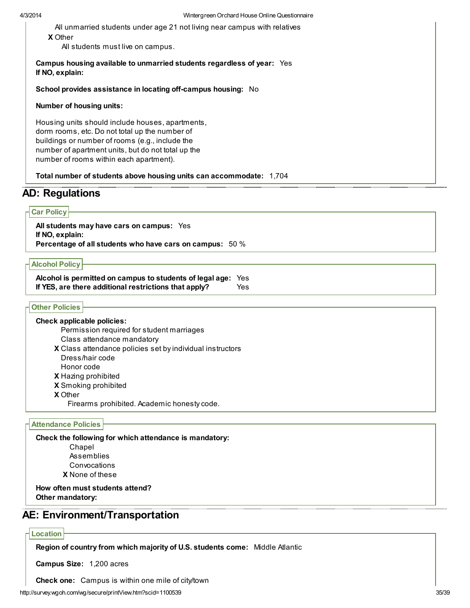X Other All unmarried students under age 21 not living near campus with relatives

All students must live on campus.

#### Campus housing available to unmarried students regardless of year: Yes If NO, explain:

School provides assistance in locating off-campus housing: No

#### Number of housing units:

Housing units should include houses, apartments, dorm rooms, etc. Do not total up the number of buildings or number of rooms (e.g., include the number of apartment units, but do not total up the number of rooms within each apartment).

Total number of students above housing units can accommodate: 1,704

## AD: Regulations

### Car Policy

All students may have cars on campus: Yes If NO, explain: Percentage of all students who have cars on campus: 50 %

#### Alcohol Policy

Alcohol is permitted on campus to students of legal age: Yes If YES, are there additional restrictions that apply? Yes

#### Other Policies

X Class attendance policies set by individual instructors X Hazing prohibited X Smoking prohibited X Other Check applicable policies: Permission required for student marriages Class attendance mandatory Dress/hair code Honor code

Firearms prohibited. Academic honesty code.

#### Attendance Policies

Check the following for which attendance is mandatory:

Chapel Assemblies Convocations

X None of these

#### How often must students attend? Other mandatory:

## AE: Environment/Transportation

#### Location

Region of country from which majority of U.S. students come: Middle Atlantic

Campus Size: 1,200 acres

Check one: Campus is within one mile of city/town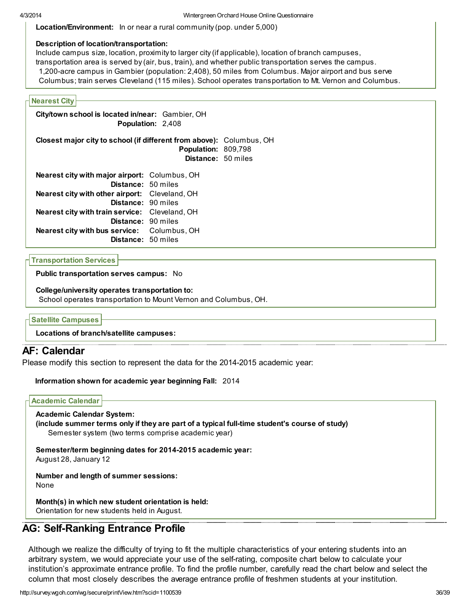Location/Environment: In or near a rural community (pop. under 5,000)

## Description of location/transportation:

Include campus size, location, proximity to larger city (if applicable), location of branch campuses, transportation area is served by (air, bus, train), and whether public transportation serves the campus. 1,200-acre campus in Gambier (population: 2,408), 50 miles from Columbus. Major airport and bus serve Columbus; train serves Cleveland (115 miles). School operates transportation to Mt. Vernon and Columbus.

## Nearest City

City/town school is located in/near: Gambier, OH Population: 2,408

Closest major city to school (if different from above): Columbus, OH Population: 809,798 Distance: 50 miles

| Nearest city with major airport: Columbus, OH  |  |
|------------------------------------------------|--|
| Distance: 50 miles                             |  |
| Nearest city with other airport: Cleveland, OH |  |
| Distance: 90 miles                             |  |
| Nearest city with train service: Cleveland, OH |  |
| Distance: 90 miles                             |  |
| Nearest city with bus service: Columbus, OH    |  |
| Distance: 50 miles                             |  |

Transportation Services

Public transportation serves campus: No

College/university operates transportation to:

School operates transportation to Mount Vernon and Columbus, OH.

Satellite Campuses

Locations of branch/satellite campuses:

## AF: Calendar

Please modify this section to represent the data for the 2014-2015 academic year:

### Information shown for academic year beginning Fall: 2014

### Academic Calendar

Academic Calendar System: (include summer terms only if they are part of a typical full-time student's course of study)

Semester system (two terms comprise academic year)

Semester/term beginning dates for 2014-2015 academic year:

August 28, January 12

Number and length of summer sessions: None

Month(s) in which new student orientation is held: Orientation for new students held in August.

# AG: Self-Ranking Entrance Profile

Although we realize the difficulty of trying to fit the multiple characteristics of your entering students into an arbitrary system, we would appreciate your use of the self-rating, composite chart below to calculate your institution's approximate entrance profile. To find the profile number, carefully read the chart below and select the column that most closely describes the average entrance profile of freshmen students at your institution.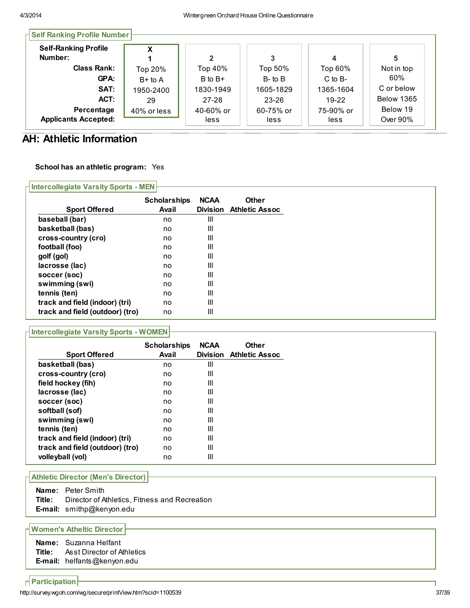| <b>Self-Ranking Profile</b><br>Number: | x           |             |              |             | 5                 |
|----------------------------------------|-------------|-------------|--------------|-------------|-------------------|
| <b>Class Rank:</b>                     | Top 20%     | Top 40%     | Top 50%      | Top 60%     | Not in top        |
| GPA:                                   | $B+$ to A   | $B$ to $B+$ | $B$ - to $B$ | $C$ to $B-$ | 60%               |
| SAT:                                   | 1950-2400   | 1830-1949   | 1605-1829    | 1365-1604   | C or below        |
| ACT:                                   | 29          | $27 - 28$   | $23 - 26$    | $19-22$     | <b>Below 1365</b> |
| Percentage                             | 40% or less | 40-60% or   | 60-75% or    | 75-90% or   | Below 19          |
| <b>Applicants Accepted:</b>            |             | less        | less         | less        | Over 90%          |

# AH: Athletic Information

## School has an athletic program: Yes

Intercollegiate Varsity Sports - MEN Sport Offered Scholarships NCAA Avail Division

|                                 | <b>Scholarships</b> | <b>NCAA</b>     | <b>Other</b>          |
|---------------------------------|---------------------|-----------------|-----------------------|
| <b>Sport Offered</b>            | Avail               | <b>Division</b> | <b>Athletic Assoc</b> |
| baseball (bar)                  | no                  | Ш               |                       |
| basketball (bas)                | no                  | Ш               |                       |
| cross-country (cro)             | no                  | Ш               |                       |
| football (foo)                  | no                  | Ш               |                       |
| golf (gol)                      | no                  | Ш               |                       |
| lacrosse (lac)                  | no                  | Ш               |                       |
| soccer (soc)                    | no                  | Ш               |                       |
| swimming (swi)                  | no                  | Ш               |                       |
| tennis (ten)                    | no                  | Ш               |                       |
| track and field (indoor) (tri)  | no                  | Ш               |                       |
| track and field (outdoor) (tro) | no                  | Ш               |                       |

## Intercollegiate Varsity Sports - WOMEN

| <b>Sport Offered</b>            | <b>Scholarships</b><br>Avail | <b>NCAA</b><br><b>Division</b> | <b>Other</b><br><b>Athletic Assoc</b> |
|---------------------------------|------------------------------|--------------------------------|---------------------------------------|
| basketball (bas)                | no                           | Ш                              |                                       |
| cross-country (cro)             | no                           | Ш                              |                                       |
| field hockey (fih)              | no                           | Ш                              |                                       |
| lacrosse (lac)                  | no                           | Ш                              |                                       |
| soccer (soc)                    | no                           | Ш                              |                                       |
| softball (sof)                  | no                           | Ш                              |                                       |
| swimming (swi)                  | no                           | Ш                              |                                       |
| tennis (ten)                    | no                           | Ш                              |                                       |
| track and field (indoor) (tri)  | no                           | Ш                              |                                       |
| track and field (outdoor) (tro) | no                           | Ш                              |                                       |
| volleyball (vol)                | no                           | Ш                              |                                       |

## Athletic Director (Men's Director)

Name: Peter Smith Title: Director of Athletics, Fitness and Recreation E-mail: smithp@kenyon.edu

### Women's Atheltic Director

| Name: Suzanna Helfant                    |
|------------------------------------------|
| <b>Title:</b> Asst Director of Athletics |
| E-mail: helfants@kenyon.edu              |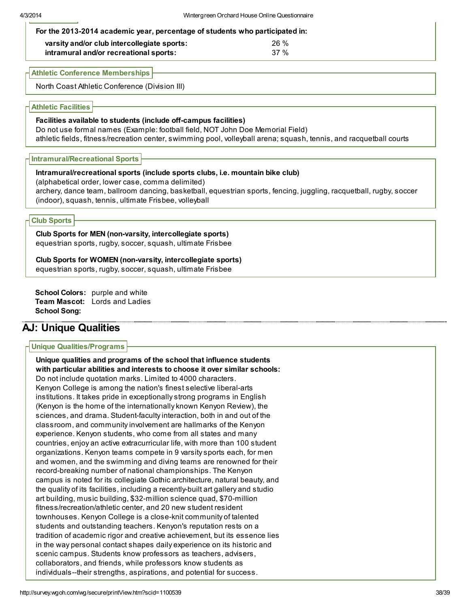| For the 2013-2014 academic year, percentage of students who participated in:          |                |  |  |  |  |
|---------------------------------------------------------------------------------------|----------------|--|--|--|--|
| varsity and/or club intercollegiate sports:<br>intramural and/or recreational sports: | $26 \%$<br>37% |  |  |  |  |

Athletic Conference Memberships

North Coast Athletic Conference (Division III)

Athletic Facilities

#### Facilities available to students (include off-campus facilities)

Do not use formal names (Example: football field, NOT John Doe Memorial Field) athletic fields, fitness/recreation center, swimming pool, volleyball arena; squash, tennis, and racquetball courts

Intramural/Recreational Sports

#### Intramural/recreational sports (include sports clubs, i.e. mountain bike club)

(alphabetical order, lower case, comma delimited)

archery, dance team, ballroom dancing, basketball, equestrian sports, fencing, juggling, racquetball, rugby, soccer (indoor), squash, tennis, ultimate Frisbee, volleyball

### Club Sports

Club Sports for MEN (non-varsity, intercollegiate sports) equestrian sports, rugby, soccer, squash, ultimate Frisbee

Club Sports for WOMEN (non-varsity, intercollegiate sports) equestrian sports, rugby, soccer, squash, ultimate Frisbee

School Colors: purple and white Team Mascot: Lords and Ladies School Song:

# AJ: Unique Qualities

### Unique Qualities/Programs

Unique qualities and programs of the school that influence students with particular abilities and interests to choose it over similar schools: Do not include quotation marks. Limited to 4000 characters. Kenyon College is among the nation's finest selective liberal-arts institutions. It takes pride in exceptionally strong programs in English (Kenyon is the home of the internationally known Kenyon Review), the sciences, and drama. Student-faculty interaction, both in and out of the classroom, and community involvement are hallmarks of the Kenyon experience. Kenyon students, who come from all states and many countries, enjoy an active extracurricular life, with more than 100 student organizations. Kenyon teams compete in 9 varsity sports each, for men and women, and the swimming and diving teams are renowned for their record-breaking number of national championships. The Kenyon campus is noted for its collegiate Gothic architecture, natural beauty, and the quality of its facilities, including a recently-built art gallery and studio art building, music building, \$32-million science quad, \$70-million fitness/recreation/athletic center, and 20 new student resident townhouses. Kenyon College is a close-knit community of talented students and outstanding teachers. Kenyon's reputation rests on a tradition of academic rigor and creative achievement, but its essence lies in the way personal contact shapes daily experience on its historic and scenic campus. Students know professors as teachers, advisers, collaborators, and friends, while professors know students as individuals--their strengths, aspirations, and potential for success.